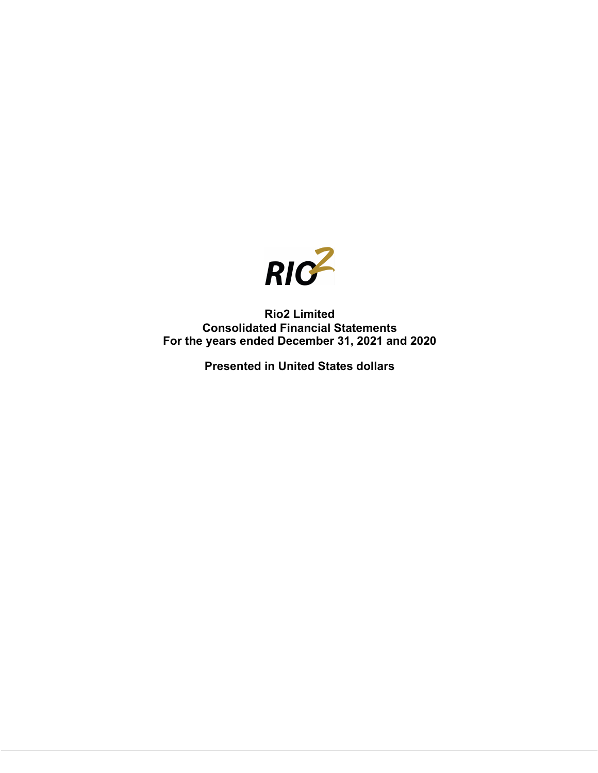

**Rio2 Limited Consolidated Financial Statements For the years ended December 31, 2021 and 2020**

**Presented in United States dollars**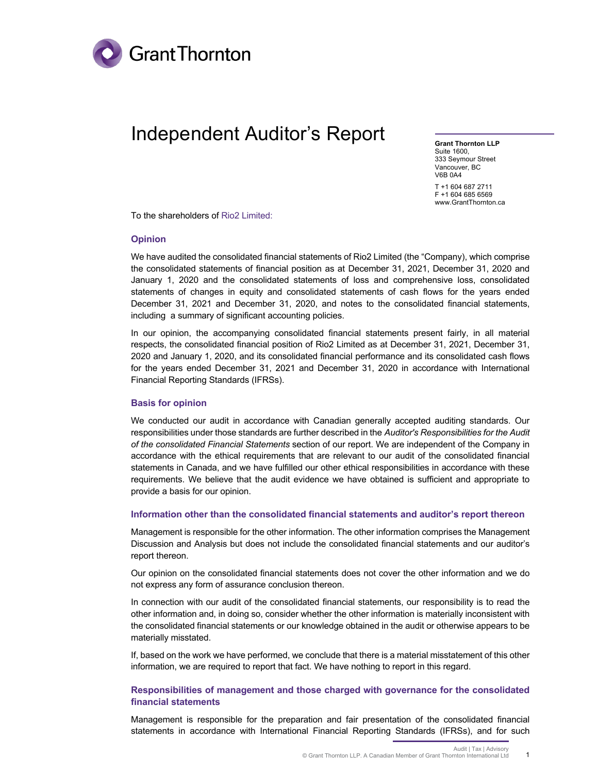

# Independent Auditor's Report

**Grant Thornton LLP** Suite 1600, 333 Seymour Street Vancouver, BC V6B 0A4 T +1 604 687 2711

F +1 604 685 6569 www.GrantThornton.ca

To the shareholders of Rio2 Limited:

#### **Opinion**

We have audited the consolidated financial statements of Rio2 Limited (the "Company), which comprise the consolidated statements of financial position as at December 31, 2021, December 31, 2020 and January 1, 2020 and the consolidated statements of loss and comprehensive loss, consolidated statements of changes in equity and consolidated statements of cash flows for the years ended December 31, 2021 and December 31, 2020, and notes to the consolidated financial statements, including a summary of significant accounting policies.

In our opinion, the accompanying consolidated financial statements present fairly, in all material respects, the consolidated financial position of Rio2 Limited as at December 31, 2021, December 31, 2020 and January 1, 2020, and its consolidated financial performance and its consolidated cash flows for the years ended December 31, 2021 and December 31, 2020 in accordance with International Financial Reporting Standards (IFRSs).

#### **Basis for opinion**

We conducted our audit in accordance with Canadian generally accepted auditing standards. Our responsibilities under those standards are further described in the *Auditor's Responsibilities for the Audit of the consolidated Financial Statements* section of our report. We are independent of the Company in accordance with the ethical requirements that are relevant to our audit of the consolidated financial statements in Canada, and we have fulfilled our other ethical responsibilities in accordance with these requirements. We believe that the audit evidence we have obtained is sufficient and appropriate to provide a basis for our opinion.

#### **Information other than the consolidated financial statements and auditor's report thereon**

Management is responsible for the other information. The other information comprises the Management Discussion and Analysis but does not include the consolidated financial statements and our auditor's report thereon.

Our opinion on the consolidated financial statements does not cover the other information and we do not express any form of assurance conclusion thereon.

In connection with our audit of the consolidated financial statements, our responsibility is to read the other information and, in doing so, consider whether the other information is materially inconsistent with the consolidated financial statements or our knowledge obtained in the audit or otherwise appears to be materially misstated.

If, based on the work we have performed, we conclude that there is a material misstatement of this other information, we are required to report that fact. We have nothing to report in this regard.

#### **Responsibilities of management and those charged with governance for the consolidated financial statements**

Management is responsible for the preparation and fair presentation of the consolidated financial statements in accordance with International Financial Reporting Standards (IFRSs), and for such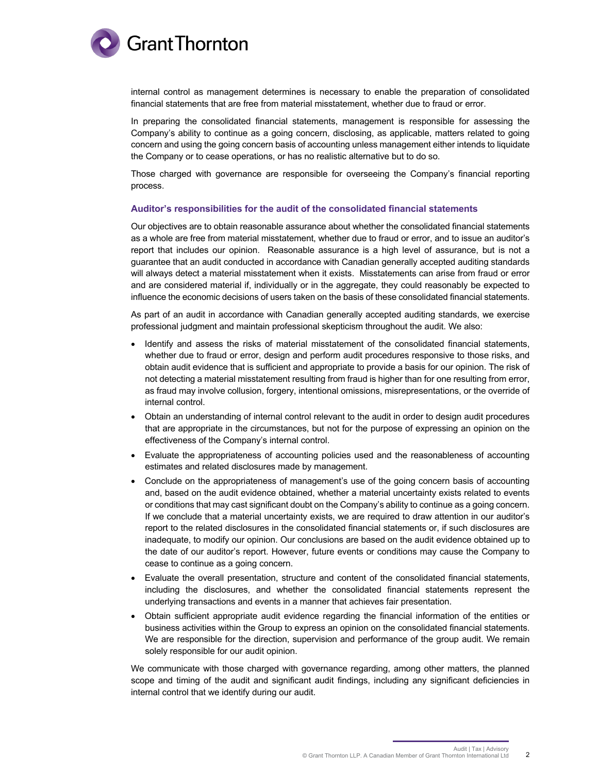

internal control as management determines is necessary to enable the preparation of consolidated financial statements that are free from material misstatement, whether due to fraud or error.

In preparing the consolidated financial statements, management is responsible for assessing the Company's ability to continue as a going concern, disclosing, as applicable, matters related to going concern and using the going concern basis of accounting unless management either intends to liquidate the Company or to cease operations, or has no realistic alternative but to do so.

Those charged with governance are responsible for overseeing the Company's financial reporting process.

#### **Auditor's responsibilities for the audit of the consolidated financial statements**

Our objectives are to obtain reasonable assurance about whether the consolidated financial statements as a whole are free from material misstatement, whether due to fraud or error, and to issue an auditor's report that includes our opinion. Reasonable assurance is a high level of assurance, but is not a guarantee that an audit conducted in accordance with Canadian generally accepted auditing standards will always detect a material misstatement when it exists. Misstatements can arise from fraud or error and are considered material if, individually or in the aggregate, they could reasonably be expected to influence the economic decisions of users taken on the basis of these consolidated financial statements.

As part of an audit in accordance with Canadian generally accepted auditing standards, we exercise professional judgment and maintain professional skepticism throughout the audit. We also:

- Identify and assess the risks of material misstatement of the consolidated financial statements, whether due to fraud or error, design and perform audit procedures responsive to those risks, and obtain audit evidence that is sufficient and appropriate to provide a basis for our opinion. The risk of not detecting a material misstatement resulting from fraud is higher than for one resulting from error, as fraud may involve collusion, forgery, intentional omissions, misrepresentations, or the override of internal control.
- Obtain an understanding of internal control relevant to the audit in order to design audit procedures that are appropriate in the circumstances, but not for the purpose of expressing an opinion on the effectiveness of the Company's internal control.
- Evaluate the appropriateness of accounting policies used and the reasonableness of accounting estimates and related disclosures made by management.
- Conclude on the appropriateness of management's use of the going concern basis of accounting and, based on the audit evidence obtained, whether a material uncertainty exists related to events or conditions that may cast significant doubt on the Company's ability to continue as a going concern. If we conclude that a material uncertainty exists, we are required to draw attention in our auditor's report to the related disclosures in the consolidated financial statements or, if such disclosures are inadequate, to modify our opinion. Our conclusions are based on the audit evidence obtained up to the date of our auditor's report. However, future events or conditions may cause the Company to cease to continue as a going concern.
- Evaluate the overall presentation, structure and content of the consolidated financial statements, including the disclosures, and whether the consolidated financial statements represent the underlying transactions and events in a manner that achieves fair presentation.
- Obtain sufficient appropriate audit evidence regarding the financial information of the entities or business activities within the Group to express an opinion on the consolidated financial statements. We are responsible for the direction, supervision and performance of the group audit. We remain solely responsible for our audit opinion.

We communicate with those charged with governance regarding, among other matters, the planned scope and timing of the audit and significant audit findings, including any significant deficiencies in internal control that we identify during our audit.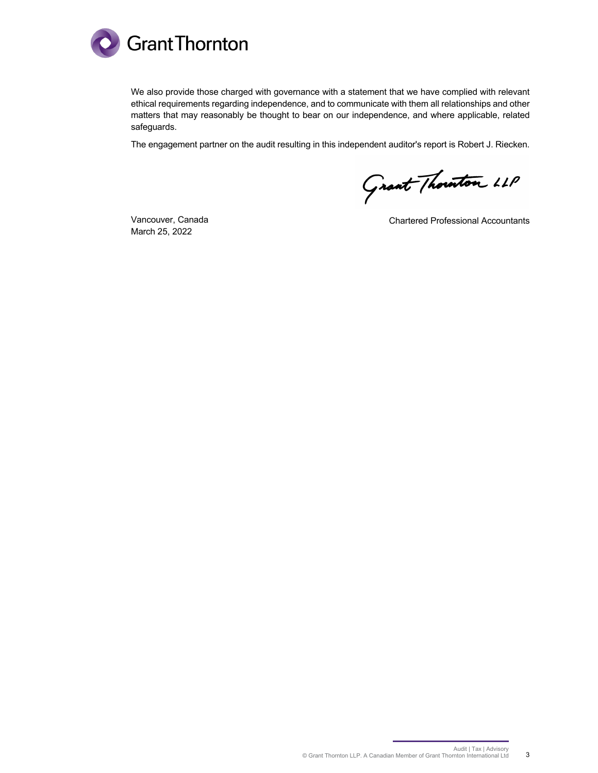

We also provide those charged with governance with a statement that we have complied with relevant ethical requirements regarding independence, and to communicate with them all relationships and other matters that may reasonably be thought to bear on our independence, and where applicable, related safeguards.

The engagement partner on the audit resulting in this independent auditor's report is Robert J. Riecken.

Grant Thouton LLP

March 25, 2022

Vancouver, Canada Chartered Professional Accountants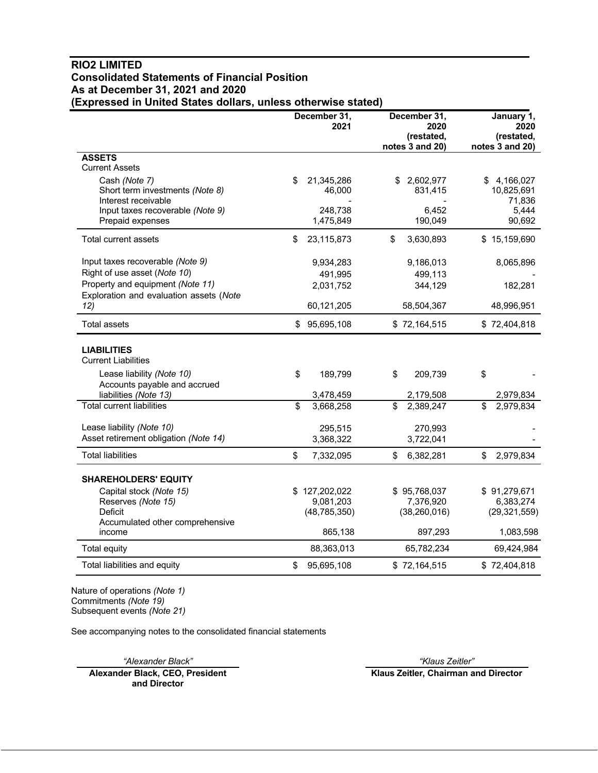# **RIO2 LIMITED Consolidated Statements of Financial Position As at December 31, 2021 and 2020 (Expressed in United States dollars, unless otherwise stated)**

|                                                         | December 31,<br>2021 |                | December 31,<br>2020          | January 1,<br>2020            |
|---------------------------------------------------------|----------------------|----------------|-------------------------------|-------------------------------|
|                                                         |                      |                | (restated,<br>notes 3 and 20) | (restated,<br>notes 3 and 20) |
| <b>ASSETS</b>                                           |                      |                |                               |                               |
| <b>Current Assets</b>                                   |                      |                |                               |                               |
| Cash (Note 7)                                           | \$                   | 21,345,286     | \$<br>2,602,977               | \$4,166,027                   |
| Short term investments (Note 8)                         |                      | 46,000         | 831,415                       | 10,825,691                    |
| Interest receivable<br>Input taxes recoverable (Note 9) |                      | 248,738        | 6,452                         | 71,836<br>5,444               |
| Prepaid expenses                                        |                      | 1,475,849      | 190,049                       | 90,692                        |
| Total current assets                                    | \$                   | 23,115,873     | \$<br>3,630,893               | \$15,159,690                  |
| Input taxes recoverable (Note 9)                        |                      | 9,934,283      | 9,186,013                     | 8,065,896                     |
| Right of use asset (Note 10)                            |                      | 491,995        | 499,113                       |                               |
| Property and equipment (Note 11)                        |                      | 2,031,752      | 344,129                       | 182,281                       |
| Exploration and evaluation assets (Note                 |                      |                |                               |                               |
| 12)                                                     |                      | 60,121,205     | 58,504,367                    | 48,996,951                    |
| <b>Total assets</b>                                     | \$                   | 95,695,108     | \$72,164,515                  | \$72,404,818                  |
| <b>LIABILITIES</b><br><b>Current Liabilities</b>        |                      |                |                               |                               |
| Lease liability (Note 10)                               | \$                   | 189,799        | \$<br>209,739                 | \$                            |
| Accounts payable and accrued                            |                      |                |                               |                               |
| liabilities (Note 13)                                   |                      | 3,478,459      | 2,179,508                     | 2,979,834                     |
| <b>Total current liabilities</b>                        | \$                   | 3,668,258      | \$<br>2,389,247               | \$<br>2,979,834               |
| Lease liability (Note 10)                               |                      | 295,515        | 270,993                       |                               |
| Asset retirement obligation (Note 14)                   |                      | 3,368,322      | 3,722,041                     |                               |
| <b>Total liabilities</b>                                | \$                   | 7,332,095      | \$<br>6,382,281               | \$<br>2,979,834               |
| <b>SHAREHOLDERS' EQUITY</b>                             |                      |                |                               |                               |
| Capital stock (Note 15)                                 |                      | \$127,202,022  | \$95,768,037                  | \$91,279,671                  |
| Reserves (Note 15)                                      |                      | 9,081,203      | 7,376,920                     | 6,383,274                     |
| <b>Deficit</b>                                          |                      | (48, 785, 350) | (38, 260, 016)                | (29, 321, 559)                |
| Accumulated other comprehensive                         |                      |                |                               |                               |
| income                                                  |                      | 865,138        | 897,293                       | 1,083,598                     |
| <b>Total equity</b>                                     |                      | 88,363,013     | 65,782,234                    | 69,424,984                    |
| Total liabilities and equity                            | \$                   | 95,695,108     | \$72,164,515                  | \$72,404,818                  |

Nature of operations *(Note 1)* Commitments *(Note 19)* Subsequent events *(Note 21)*

See accompanying notes to the consolidated financial statements

**Alexander Black, CEO, President and Director**

*"Alexander Black" "Klaus Zeitler"* **Klaus Zeitler, Chairman and Director**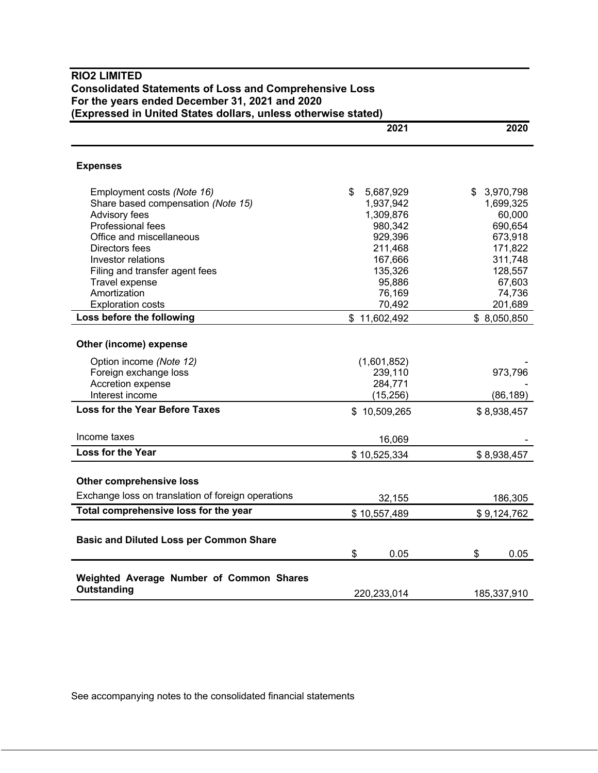|                                                    | 2021               | 2020               |
|----------------------------------------------------|--------------------|--------------------|
| <b>Expenses</b>                                    |                    |                    |
| Employment costs (Note 16)                         | \$<br>5,687,929    | \$3,970,798        |
| Share based compensation (Note 15)                 | 1,937,942          | 1,699,325          |
| Advisory fees                                      | 1,309,876          | 60,000             |
| Professional fees<br>Office and miscellaneous      | 980,342            | 690,654            |
| Directors fees                                     | 929,396<br>211,468 | 673,918<br>171,822 |
| Investor relations                                 | 167,666            | 311,748            |
| Filing and transfer agent fees                     | 135,326            | 128,557            |
| Travel expense                                     | 95,886             | 67,603             |
| Amortization                                       | 76,169             | 74,736             |
| <b>Exploration costs</b>                           | 70,492             | 201,689            |
| Loss before the following                          | \$11,602,492       | \$8,050,850        |
| Other (income) expense                             |                    |                    |
| Option income (Note 12)                            | (1,601,852)        |                    |
| Foreign exchange loss<br>Accretion expense         | 239,110<br>284,771 | 973,796            |
| Interest income                                    | (15, 256)          | (86, 189)          |
| <b>Loss for the Year Before Taxes</b>              | \$10,509,265       | \$8,938,457        |
| Income taxes                                       | 16,069             |                    |
| Loss for the Year                                  | \$10,525,334       | \$8,938,457        |
| <b>Other comprehensive loss</b>                    |                    |                    |
| Exchange loss on translation of foreign operations |                    |                    |
|                                                    | 32,155             | 186,305            |
| Total comprehensive loss for the year              | \$10,557,489       | \$9,124,762        |
| <b>Basic and Diluted Loss per Common Share</b>     |                    |                    |
|                                                    | \$<br>0.05         | \$<br>0.05         |
| Weighted Average Number of Common Shares           |                    |                    |
| Outstanding                                        | 220,233,014        | 185,337,910        |

**RIO2 LIMITED Consolidated Statements of Loss and Comprehensive Loss**

See accompanying notes to the consolidated financial statements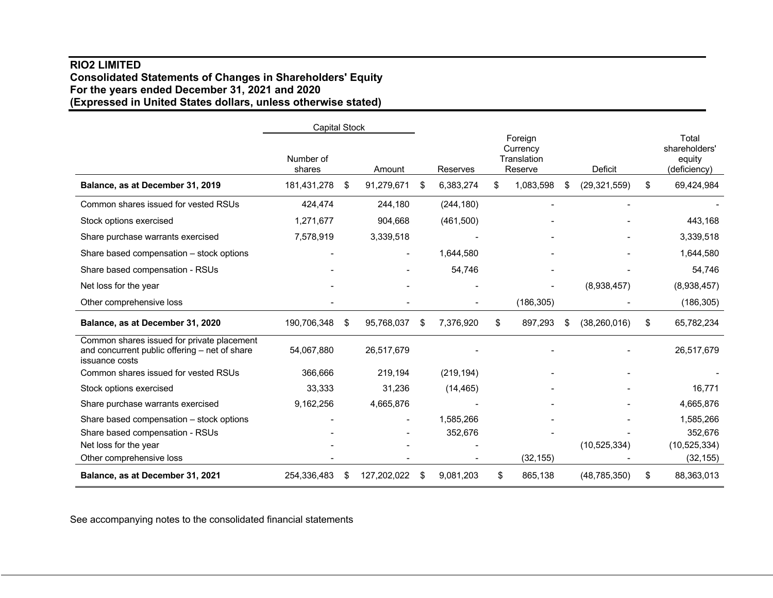# **RIO2 LIMITED Consolidated Statements of Changes in Shareholders' Equity For the years ended December 31, 2021 and 2020 (Expressed in United States dollars, unless otherwise stated)**

|                                                                                                               | <b>Capital Stock</b> |    |             |    |            |     |                                               |     |                |                                                  |
|---------------------------------------------------------------------------------------------------------------|----------------------|----|-------------|----|------------|-----|-----------------------------------------------|-----|----------------|--------------------------------------------------|
|                                                                                                               | Number of<br>shares  |    | Amount      |    | Reserves   |     | Foreign<br>Currency<br>Translation<br>Reserve |     | Deficit        | Total<br>shareholders'<br>equity<br>(deficiency) |
| Balance, as at December 31, 2019                                                                              | 181,431,278          | \$ | 91,279,671  | S. | 6,383,274  | \$  | 1,083,598                                     | \$  | (29, 321, 559) | \$<br>69,424,984                                 |
| Common shares issued for vested RSUs                                                                          | 424,474              |    | 244,180     |    | (244, 180) |     |                                               |     |                |                                                  |
| Stock options exercised                                                                                       | 1,271,677            |    | 904,668     |    | (461,500)  |     |                                               |     |                | 443,168                                          |
| Share purchase warrants exercised                                                                             | 7,578,919            |    | 3,339,518   |    |            |     |                                               |     |                | 3,339,518                                        |
| Share based compensation - stock options                                                                      |                      |    |             |    | 1,644,580  |     |                                               |     |                | 1,644,580                                        |
| Share based compensation - RSUs                                                                               |                      |    |             |    | 54,746     |     |                                               |     |                | 54,746                                           |
| Net loss for the year                                                                                         |                      |    |             |    |            |     |                                               |     | (8,938,457)    | (8,938,457)                                      |
| Other comprehensive loss                                                                                      |                      |    |             |    |            |     | (186, 305)                                    |     |                | (186, 305)                                       |
| Balance, as at December 31, 2020                                                                              | 190,706,348          | \$ | 95,768,037  | S  | 7,376,920  | \$. | 897,293                                       | \$. | (38, 260, 016) | \$<br>65,782,234                                 |
| Common shares issued for private placement<br>and concurrent public offering - net of share<br>issuance costs | 54,067,880           |    | 26,517,679  |    |            |     |                                               |     |                | 26,517,679                                       |
| Common shares issued for vested RSUs                                                                          | 366,666              |    | 219,194     |    | (219, 194) |     |                                               |     |                |                                                  |
| Stock options exercised                                                                                       | 33,333               |    | 31,236      |    | (14, 465)  |     |                                               |     |                | 16.771                                           |
| Share purchase warrants exercised                                                                             | 9,162,256            |    | 4,665,876   |    |            |     |                                               |     |                | 4,665,876                                        |
| Share based compensation - stock options                                                                      |                      |    |             |    | 1,585,266  |     |                                               |     |                | 1,585,266                                        |
| Share based compensation - RSUs<br>Net loss for the year                                                      |                      |    |             |    | 352,676    |     |                                               |     | (10, 525, 334) | 352,676<br>(10, 525, 334)                        |
| Other comprehensive loss                                                                                      |                      |    |             |    |            |     | (32, 155)                                     |     |                | (32, 155)                                        |
| Balance, as at December 31, 2021                                                                              | 254,336,483          | S  | 127,202,022 | \$ | 9,081,203  | S   | 865,138                                       |     | (48, 785, 350) | \$<br>88,363,013                                 |

See accompanying notes to the consolidated financial statements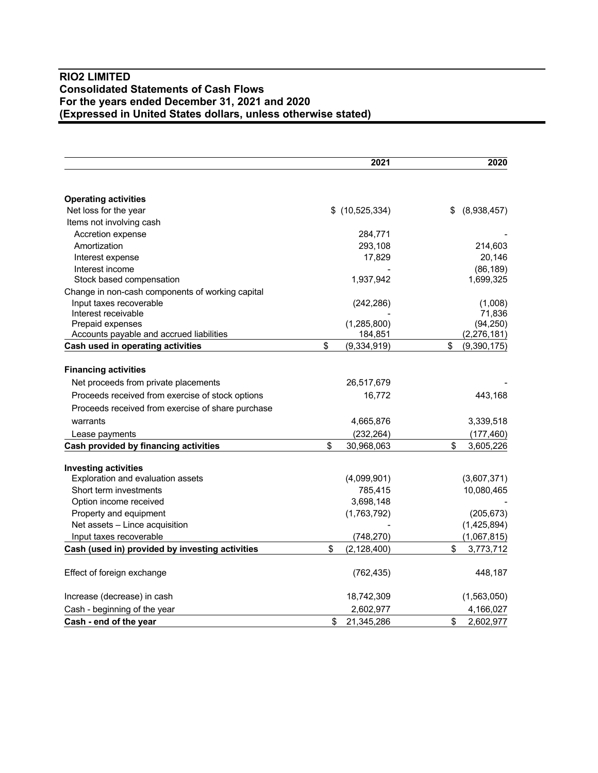# **RIO2 LIMITED Consolidated Statements of Cash Flows For the years ended December 31, 2021 and 2020 (Expressed in United States dollars, unless otherwise stated)**

|                                                   | 2021                | 2020              |
|---------------------------------------------------|---------------------|-------------------|
|                                                   |                     |                   |
| <b>Operating activities</b>                       |                     |                   |
| Net loss for the year                             | \$(10,525,334)      | \$<br>(8,938,457) |
| Items not involving cash                          |                     |                   |
| Accretion expense                                 | 284,771             |                   |
| Amortization                                      | 293,108             | 214,603           |
| Interest expense                                  | 17,829              | 20,146            |
| Interest income                                   |                     | (86, 189)         |
| Stock based compensation                          | 1,937,942           | 1,699,325         |
| Change in non-cash components of working capital  |                     |                   |
| Input taxes recoverable                           | (242, 286)          | (1,008)           |
| Interest receivable                               |                     | 71,836            |
| Prepaid expenses                                  | (1,285,800)         | (94, 250)         |
| Accounts payable and accrued liabilities          | 184,851             | (2, 276, 181)     |
| Cash used in operating activities                 | \$<br>(9, 334, 919) | \$<br>(9,390,175) |
| <b>Financing activities</b>                       |                     |                   |
| Net proceeds from private placements              | 26,517,679          |                   |
| Proceeds received from exercise of stock options  | 16,772              | 443,168           |
| Proceeds received from exercise of share purchase |                     |                   |
| warrants                                          | 4,665,876           | 3,339,518         |
|                                                   |                     |                   |
| Lease payments                                    | (232, 264)          | (177, 460)        |
| Cash provided by financing activities             | \$<br>30,968,063    | \$<br>3,605,226   |
| <b>Investing activities</b>                       |                     |                   |
| Exploration and evaluation assets                 | (4,099,901)         | (3,607,371)       |
| Short term investments                            | 785,415             | 10,080,465        |
| Option income received                            | 3,698,148           |                   |
| Property and equipment                            | (1,763,792)         | (205, 673)        |
| Net assets - Lince acquisition                    |                     | (1,425,894)       |
| Input taxes recoverable                           | (748, 270)          | (1,067,815)       |
| Cash (used in) provided by investing activities   | \$<br>(2, 128, 400) | \$<br>3,773,712   |
|                                                   |                     |                   |
| Effect of foreign exchange                        | (762, 435)          | 448,187           |
| Increase (decrease) in cash                       | 18,742,309          | (1,563,050)       |
| Cash - beginning of the year                      | 2,602,977           | 4,166,027         |
| Cash - end of the year                            | \$<br>21,345,286    | \$<br>2,602,977   |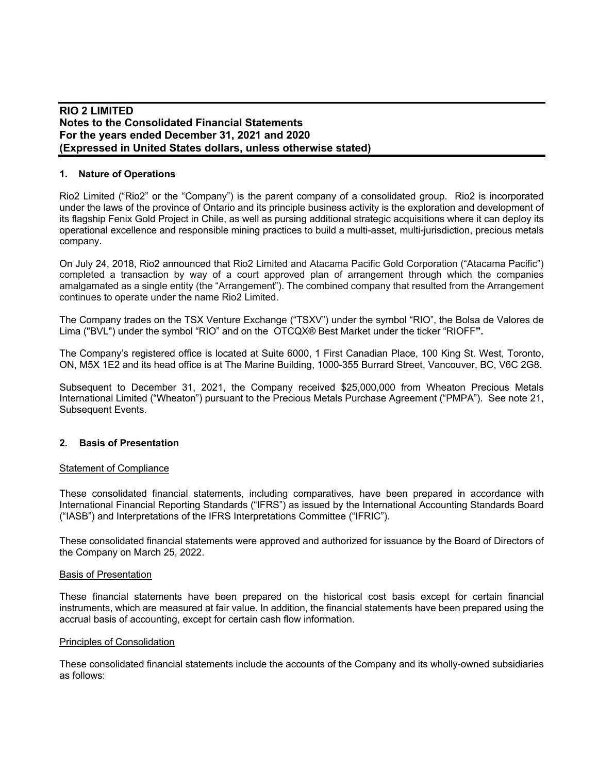### **1. Nature of Operations**

Rio2 Limited ("Rio2" or the "Company") is the parent company of a consolidated group. Rio2 is incorporated under the laws of the province of Ontario and its principle business activity is the exploration and development of its flagship Fenix Gold Project in Chile, as well as pursing additional strategic acquisitions where it can deploy its operational excellence and responsible mining practices to build a multi-asset, multi-jurisdiction, precious metals company.

On July 24, 2018, Rio2 announced that Rio2 Limited and Atacama Pacific Gold Corporation ("Atacama Pacific") completed a transaction by way of a court approved plan of arrangement through which the companies amalgamated as a single entity (the "Arrangement"). The combined company that resulted from the Arrangement continues to operate under the name Rio2 Limited.

The Company trades on the TSX Venture Exchange ("TSXV") under the symbol "RIO", the Bolsa de Valores de Lima ("BVL") under the symbol "RIO" and on the OTCQX® Best Market under the ticker "RIOFF**".**

The Company's registered office is located at Suite 6000, 1 First Canadian Place, 100 King St. West, Toronto, ON, M5X 1E2 and its head office is at The Marine Building, 1000-355 Burrard Street, Vancouver, BC, V6C 2G8.

Subsequent to December 31, 2021, the Company received \$25,000,000 from Wheaton Precious Metals International Limited ("Wheaton") pursuant to the Precious Metals Purchase Agreement ("PMPA"). See note 21, Subsequent Events.

# **2. Basis of Presentation**

#### Statement of Compliance

These consolidated financial statements, including comparatives, have been prepared in accordance with International Financial Reporting Standards ("IFRS") as issued by the International Accounting Standards Board ("IASB") and Interpretations of the IFRS Interpretations Committee ("IFRIC").

These consolidated financial statements were approved and authorized for issuance by the Board of Directors of the Company on March 25, 2022.

#### Basis of Presentation

These financial statements have been prepared on the historical cost basis except for certain financial instruments, which are measured at fair value. In addition, the financial statements have been prepared using the accrual basis of accounting, except for certain cash flow information.

#### Principles of Consolidation

These consolidated financial statements include the accounts of the Company and its wholly-owned subsidiaries as follows: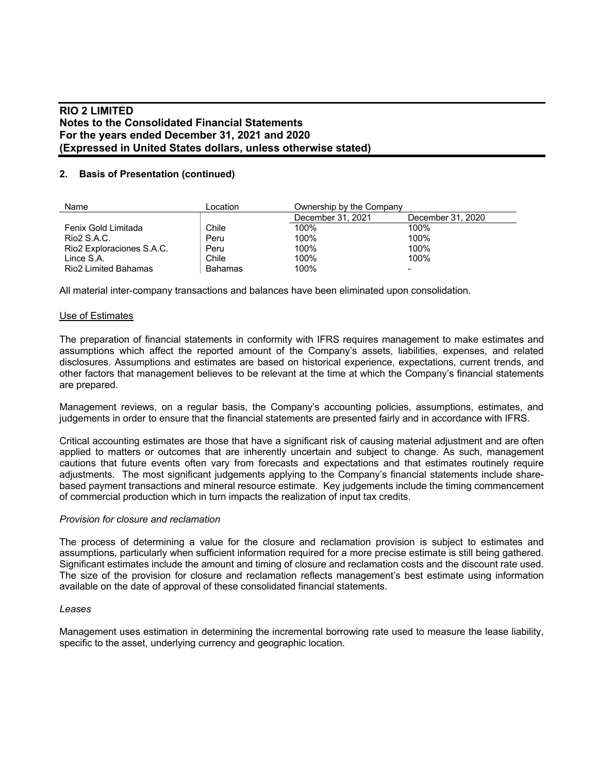### **2. Basis of Presentation (continued)**

| Name                        | ∟ocation       | Ownership by the Company |                   |  |
|-----------------------------|----------------|--------------------------|-------------------|--|
|                             |                | December 31, 2021        | December 31, 2020 |  |
| Fenix Gold Limitada         | Chile          | 100%                     | $100\%$           |  |
| Rio <sub>2</sub> S.A.C.     | Peru           | 100%                     | 100%              |  |
| Rio2 Exploraciones S.A.C.   | Peru           | 100%                     | 100%              |  |
| Lince S.A.                  | Chile          | 100%                     | 100%              |  |
| <b>Rio2 Limited Bahamas</b> | <b>Bahamas</b> | 100%                     |                   |  |

All material inter-company transactions and balances have been eliminated upon consolidation.

#### Use of Estimates

The preparation of financial statements in conformity with IFRS requires management to make estimates and assumptions which affect the reported amount of the Company's assets, liabilities, expenses, and related disclosures. Assumptions and estimates are based on historical experience, expectations, current trends, and other factors that management believes to be relevant at the time at which the Company's financial statements are prepared.

Management reviews, on a regular basis, the Company's accounting policies, assumptions, estimates, and judgements in order to ensure that the financial statements are presented fairly and in accordance with IFRS.

Critical accounting estimates are those that have a significant risk of causing material adjustment and are often applied to matters or outcomes that are inherently uncertain and subject to change. As such, management cautions that future events often vary from forecasts and expectations and that estimates routinely require adjustments. The most significant judgements applying to the Company's financial statements include sharebased payment transactions and mineral resource estimate. Key judgements include the timing commencement of commercial production which in turn impacts the realization of input tax credits.

#### *Provision for closure and reclamation*

The process of determining a value for the closure and reclamation provision is subject to estimates and assumptions, particularly when sufficient information required for a more precise estimate is still being gathered. Significant estimates include the amount and timing of closure and reclamation costs and the discount rate used. The size of the provision for closure and reclamation reflects management's best estimate using information available on the date of approval of these consolidated financial statements.

#### *Leases*

Management uses estimation in determining the incremental borrowing rate used to measure the lease liability, specific to the asset, underlying currency and geographic location.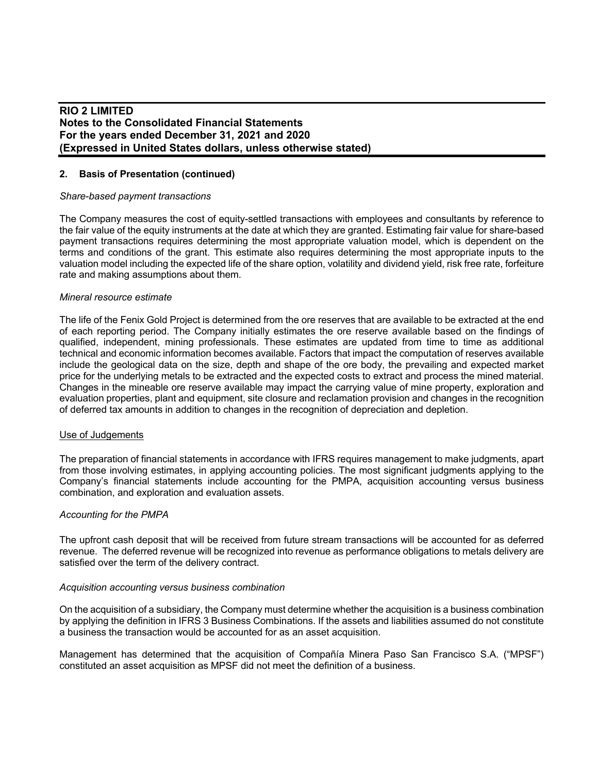### **2. Basis of Presentation (continued)**

#### *Share-based payment transactions*

The Company measures the cost of equity-settled transactions with employees and consultants by reference to the fair value of the equity instruments at the date at which they are granted. Estimating fair value for share-based payment transactions requires determining the most appropriate valuation model, which is dependent on the terms and conditions of the grant. This estimate also requires determining the most appropriate inputs to the valuation model including the expected life of the share option, volatility and dividend yield, risk free rate, forfeiture rate and making assumptions about them.

#### *Mineral resource estimate*

The life of the Fenix Gold Project is determined from the ore reserves that are available to be extracted at the end of each reporting period. The Company initially estimates the ore reserve available based on the findings of qualified, independent, mining professionals. These estimates are updated from time to time as additional technical and economic information becomes available. Factors that impact the computation of reserves available include the geological data on the size, depth and shape of the ore body, the prevailing and expected market price for the underlying metals to be extracted and the expected costs to extract and process the mined material. Changes in the mineable ore reserve available may impact the carrying value of mine property, exploration and evaluation properties, plant and equipment, site closure and reclamation provision and changes in the recognition of deferred tax amounts in addition to changes in the recognition of depreciation and depletion.

#### Use of Judgements

The preparation of financial statements in accordance with IFRS requires management to make judgments, apart from those involving estimates, in applying accounting policies. The most significant judgments applying to the Company's financial statements include accounting for the PMPA, acquisition accounting versus business combination, and exploration and evaluation assets.

#### *Accounting for the PMPA*

The upfront cash deposit that will be received from future stream transactions will be accounted for as deferred revenue. The deferred revenue will be recognized into revenue as performance obligations to metals delivery are satisfied over the term of the delivery contract.

#### *Acquisition accounting versus business combination*

On the acquisition of a subsidiary, the Company must determine whether the acquisition is a business combination by applying the definition in IFRS 3 Business Combinations. If the assets and liabilities assumed do not constitute a business the transaction would be accounted for as an asset acquisition.

Management has determined that the acquisition of Compañía Minera Paso San Francisco S.A. ("MPSF") constituted an asset acquisition as MPSF did not meet the definition of a business.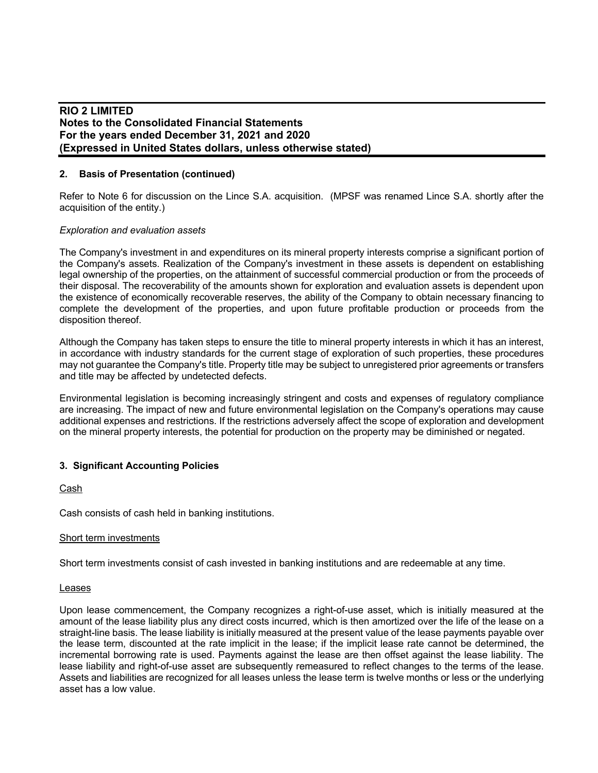### **2. Basis of Presentation (continued)**

Refer to Note 6 for discussion on the Lince S.A. acquisition. (MPSF was renamed Lince S.A. shortly after the acquisition of the entity.)

#### *Exploration and evaluation assets*

The Company's investment in and expenditures on its mineral property interests comprise a significant portion of the Company's assets. Realization of the Company's investment in these assets is dependent on establishing legal ownership of the properties, on the attainment of successful commercial production or from the proceeds of their disposal. The recoverability of the amounts shown for exploration and evaluation assets is dependent upon the existence of economically recoverable reserves, the ability of the Company to obtain necessary financing to complete the development of the properties, and upon future profitable production or proceeds from the disposition thereof.

Although the Company has taken steps to ensure the title to mineral property interests in which it has an interest, in accordance with industry standards for the current stage of exploration of such properties, these procedures may not guarantee the Company's title. Property title may be subject to unregistered prior agreements or transfers and title may be affected by undetected defects.

Environmental legislation is becoming increasingly stringent and costs and expenses of regulatory compliance are increasing. The impact of new and future environmental legislation on the Company's operations may cause additional expenses and restrictions. If the restrictions adversely affect the scope of exploration and development on the mineral property interests, the potential for production on the property may be diminished or negated.

#### **3. Significant Accounting Policies**

Cash

Cash consists of cash held in banking institutions.

#### Short term investments

Short term investments consist of cash invested in banking institutions and are redeemable at any time.

#### Leases

Upon lease commencement, the Company recognizes a right-of-use asset, which is initially measured at the amount of the lease liability plus any direct costs incurred, which is then amortized over the life of the lease on a straight-line basis. The lease liability is initially measured at the present value of the lease payments payable over the lease term, discounted at the rate implicit in the lease; if the implicit lease rate cannot be determined, the incremental borrowing rate is used. Payments against the lease are then offset against the lease liability. The lease liability and right-of-use asset are subsequently remeasured to reflect changes to the terms of the lease. Assets and liabilities are recognized for all leases unless the lease term is twelve months or less or the underlying asset has a low value.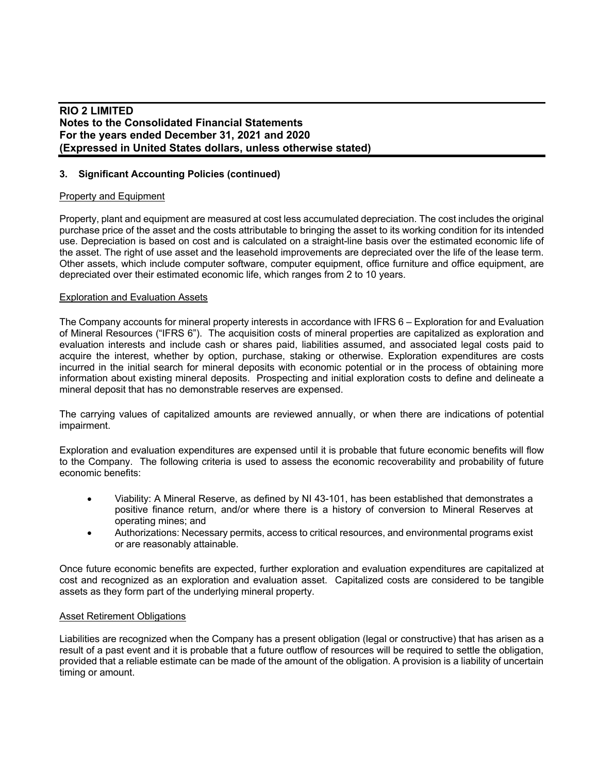# **3. Significant Accounting Policies (continued)**

# Property and Equipment

Property, plant and equipment are measured at cost less accumulated depreciation. The cost includes the original purchase price of the asset and the costs attributable to bringing the asset to its working condition for its intended use. Depreciation is based on cost and is calculated on a straight-line basis over the estimated economic life of the asset. The right of use asset and the leasehold improvements are depreciated over the life of the lease term. Other assets, which include computer software, computer equipment, office furniture and office equipment, are depreciated over their estimated economic life, which ranges from 2 to 10 years.

### Exploration and Evaluation Assets

The Company accounts for mineral property interests in accordance with IFRS 6 – Exploration for and Evaluation of Mineral Resources ("IFRS 6"). The acquisition costs of mineral properties are capitalized as exploration and evaluation interests and include cash or shares paid, liabilities assumed, and associated legal costs paid to acquire the interest, whether by option, purchase, staking or otherwise. Exploration expenditures are costs incurred in the initial search for mineral deposits with economic potential or in the process of obtaining more information about existing mineral deposits. Prospecting and initial exploration costs to define and delineate a mineral deposit that has no demonstrable reserves are expensed.

The carrying values of capitalized amounts are reviewed annually, or when there are indications of potential impairment.

Exploration and evaluation expenditures are expensed until it is probable that future economic benefits will flow to the Company. The following criteria is used to assess the economic recoverability and probability of future economic benefits:

- Viability: A Mineral Reserve, as defined by NI 43-101, has been established that demonstrates a positive finance return, and/or where there is a history of conversion to Mineral Reserves at operating mines; and
- Authorizations: Necessary permits, access to critical resources, and environmental programs exist or are reasonably attainable.

Once future economic benefits are expected, further exploration and evaluation expenditures are capitalized at cost and recognized as an exploration and evaluation asset. Capitalized costs are considered to be tangible assets as they form part of the underlying mineral property.

#### **Asset Retirement Obligations**

Liabilities are recognized when the Company has a present obligation (legal or constructive) that has arisen as a result of a past event and it is probable that a future outflow of resources will be required to settle the obligation, provided that a reliable estimate can be made of the amount of the obligation. A provision is a liability of uncertain timing or amount.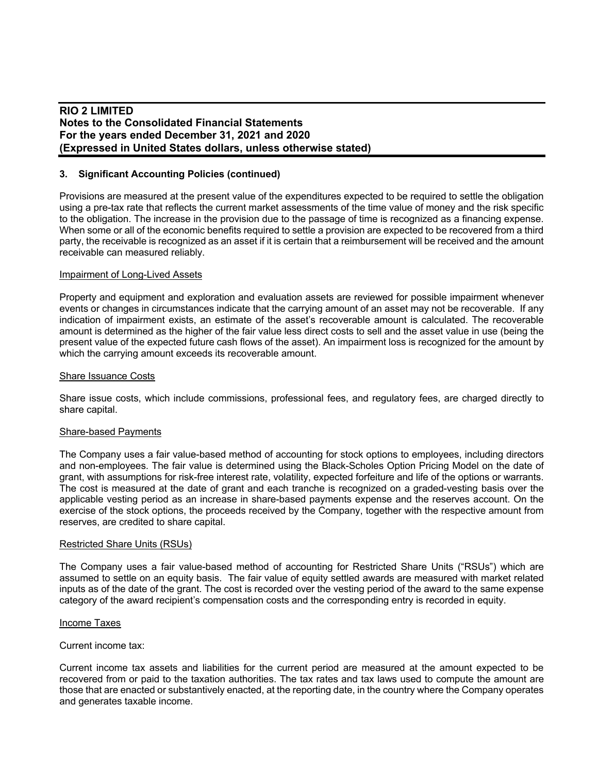### **3. Significant Accounting Policies (continued)**

Provisions are measured at the present value of the expenditures expected to be required to settle the obligation using a pre-tax rate that reflects the current market assessments of the time value of money and the risk specific to the obligation. The increase in the provision due to the passage of time is recognized as a financing expense. When some or all of the economic benefits required to settle a provision are expected to be recovered from a third party, the receivable is recognized as an asset if it is certain that a reimbursement will be received and the amount receivable can measured reliably.

#### Impairment of Long-Lived Assets

Property and equipment and exploration and evaluation assets are reviewed for possible impairment whenever events or changes in circumstances indicate that the carrying amount of an asset may not be recoverable. If any indication of impairment exists, an estimate of the asset's recoverable amount is calculated. The recoverable amount is determined as the higher of the fair value less direct costs to sell and the asset value in use (being the present value of the expected future cash flows of the asset). An impairment loss is recognized for the amount by which the carrying amount exceeds its recoverable amount.

#### Share Issuance Costs

Share issue costs, which include commissions, professional fees, and regulatory fees, are charged directly to share capital.

#### Share-based Payments

The Company uses a fair value-based method of accounting for stock options to employees, including directors and non-employees. The fair value is determined using the Black-Scholes Option Pricing Model on the date of grant, with assumptions for risk-free interest rate, volatility, expected forfeiture and life of the options or warrants. The cost is measured at the date of grant and each tranche is recognized on a graded-vesting basis over the applicable vesting period as an increase in share-based payments expense and the reserves account. On the exercise of the stock options, the proceeds received by the Company, together with the respective amount from reserves, are credited to share capital.

#### Restricted Share Units (RSUs)

The Company uses a fair value-based method of accounting for Restricted Share Units ("RSUs") which are assumed to settle on an equity basis. The fair value of equity settled awards are measured with market related inputs as of the date of the grant. The cost is recorded over the vesting period of the award to the same expense category of the award recipient's compensation costs and the corresponding entry is recorded in equity.

#### Income Taxes

#### Current income tax:

Current income tax assets and liabilities for the current period are measured at the amount expected to be recovered from or paid to the taxation authorities. The tax rates and tax laws used to compute the amount are those that are enacted or substantively enacted, at the reporting date, in the country where the Company operates and generates taxable income.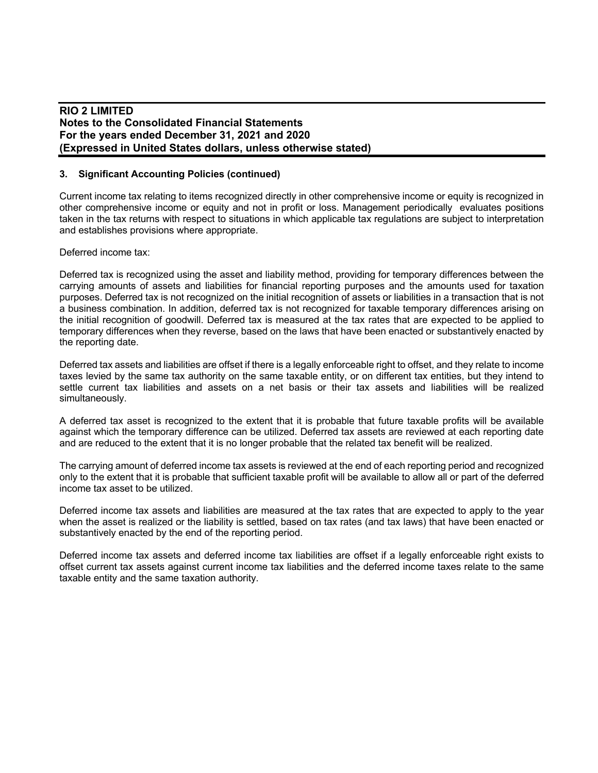### **3. Significant Accounting Policies (continued)**

Current income tax relating to items recognized directly in other comprehensive income or equity is recognized in other comprehensive income or equity and not in profit or loss. Management periodically evaluates positions taken in the tax returns with respect to situations in which applicable tax regulations are subject to interpretation and establishes provisions where appropriate.

#### Deferred income tax:

Deferred tax is recognized using the asset and liability method, providing for temporary differences between the carrying amounts of assets and liabilities for financial reporting purposes and the amounts used for taxation purposes. Deferred tax is not recognized on the initial recognition of assets or liabilities in a transaction that is not a business combination. In addition, deferred tax is not recognized for taxable temporary differences arising on the initial recognition of goodwill. Deferred tax is measured at the tax rates that are expected to be applied to temporary differences when they reverse, based on the laws that have been enacted or substantively enacted by the reporting date.

Deferred tax assets and liabilities are offset if there is a legally enforceable right to offset, and they relate to income taxes levied by the same tax authority on the same taxable entity, or on different tax entities, but they intend to settle current tax liabilities and assets on a net basis or their tax assets and liabilities will be realized simultaneously.

A deferred tax asset is recognized to the extent that it is probable that future taxable profits will be available against which the temporary difference can be utilized. Deferred tax assets are reviewed at each reporting date and are reduced to the extent that it is no longer probable that the related tax benefit will be realized.

The carrying amount of deferred income tax assets is reviewed at the end of each reporting period and recognized only to the extent that it is probable that sufficient taxable profit will be available to allow all or part of the deferred income tax asset to be utilized.

Deferred income tax assets and liabilities are measured at the tax rates that are expected to apply to the year when the asset is realized or the liability is settled, based on tax rates (and tax laws) that have been enacted or substantively enacted by the end of the reporting period.

Deferred income tax assets and deferred income tax liabilities are offset if a legally enforceable right exists to offset current tax assets against current income tax liabilities and the deferred income taxes relate to the same taxable entity and the same taxation authority.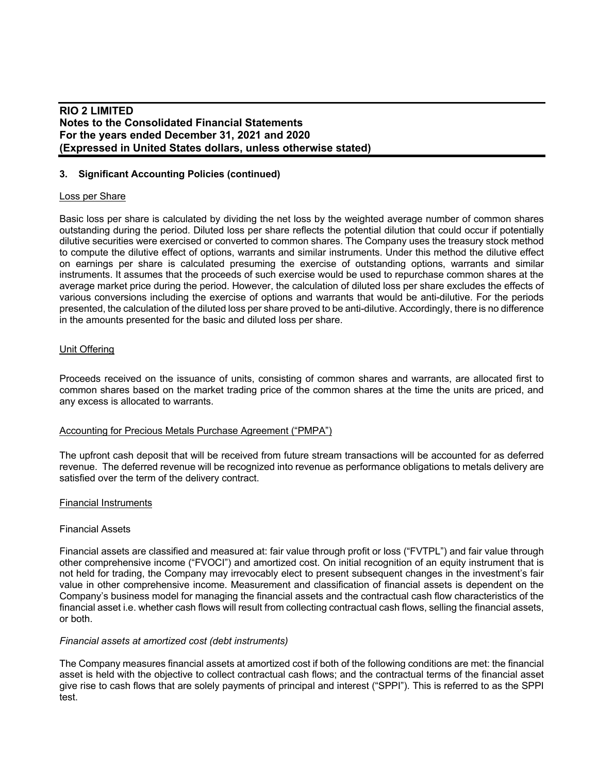# **3. Significant Accounting Policies (continued)**

#### Loss per Share

Basic loss per share is calculated by dividing the net loss by the weighted average number of common shares outstanding during the period. Diluted loss per share reflects the potential dilution that could occur if potentially dilutive securities were exercised or converted to common shares. The Company uses the treasury stock method to compute the dilutive effect of options, warrants and similar instruments. Under this method the dilutive effect on earnings per share is calculated presuming the exercise of outstanding options, warrants and similar instruments. It assumes that the proceeds of such exercise would be used to repurchase common shares at the average market price during the period. However, the calculation of diluted loss per share excludes the effects of various conversions including the exercise of options and warrants that would be anti-dilutive. For the periods presented, the calculation of the diluted loss per share proved to be anti-dilutive. Accordingly, there is no difference in the amounts presented for the basic and diluted loss per share.

### Unit Offering

Proceeds received on the issuance of units, consisting of common shares and warrants, are allocated first to common shares based on the market trading price of the common shares at the time the units are priced, and any excess is allocated to warrants.

#### Accounting for Precious Metals Purchase Agreement ("PMPA")

The upfront cash deposit that will be received from future stream transactions will be accounted for as deferred revenue. The deferred revenue will be recognized into revenue as performance obligations to metals delivery are satisfied over the term of the delivery contract.

#### Financial Instruments

#### Financial Assets

Financial assets are classified and measured at: fair value through profit or loss ("FVTPL") and fair value through other comprehensive income ("FVOCI") and amortized cost. On initial recognition of an equity instrument that is not held for trading, the Company may irrevocably elect to present subsequent changes in the investment's fair value in other comprehensive income. Measurement and classification of financial assets is dependent on the Company's business model for managing the financial assets and the contractual cash flow characteristics of the financial asset i.e. whether cash flows will result from collecting contractual cash flows, selling the financial assets, or both.

#### *Financial assets at amortized cost (debt instruments)*

The Company measures financial assets at amortized cost if both of the following conditions are met: the financial asset is held with the objective to collect contractual cash flows; and the contractual terms of the financial asset give rise to cash flows that are solely payments of principal and interest ("SPPI"). This is referred to as the SPPI test.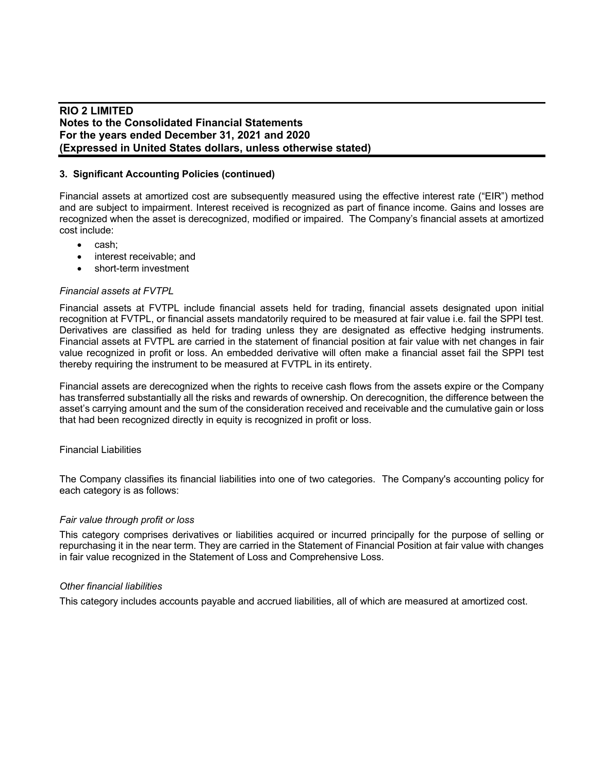### **3. Significant Accounting Policies (continued)**

Financial assets at amortized cost are subsequently measured using the effective interest rate ("EIR") method and are subject to impairment. Interest received is recognized as part of finance income. Gains and losses are recognized when the asset is derecognized, modified or impaired. The Company's financial assets at amortized cost include:

- cash;
- interest receivable; and
- short-term investment

#### *Financial assets at FVTPL*

Financial assets at FVTPL include financial assets held for trading, financial assets designated upon initial recognition at FVTPL, or financial assets mandatorily required to be measured at fair value i.e. fail the SPPI test. Derivatives are classified as held for trading unless they are designated as effective hedging instruments. Financial assets at FVTPL are carried in the statement of financial position at fair value with net changes in fair value recognized in profit or loss. An embedded derivative will often make a financial asset fail the SPPI test thereby requiring the instrument to be measured at FVTPL in its entirety.

Financial assets are derecognized when the rights to receive cash flows from the assets expire or the Company has transferred substantially all the risks and rewards of ownership. On derecognition, the difference between the asset's carrying amount and the sum of the consideration received and receivable and the cumulative gain or loss that had been recognized directly in equity is recognized in profit or loss.

#### Financial Liabilities

The Company classifies its financial liabilities into one of two categories. The Company's accounting policy for each category is as follows:

#### *Fair value through profit or loss*

This category comprises derivatives or liabilities acquired or incurred principally for the purpose of selling or repurchasing it in the near term. They are carried in the Statement of Financial Position at fair value with changes in fair value recognized in the Statement of Loss and Comprehensive Loss.

#### *Other financial liabilities*

This category includes accounts payable and accrued liabilities, all of which are measured at amortized cost.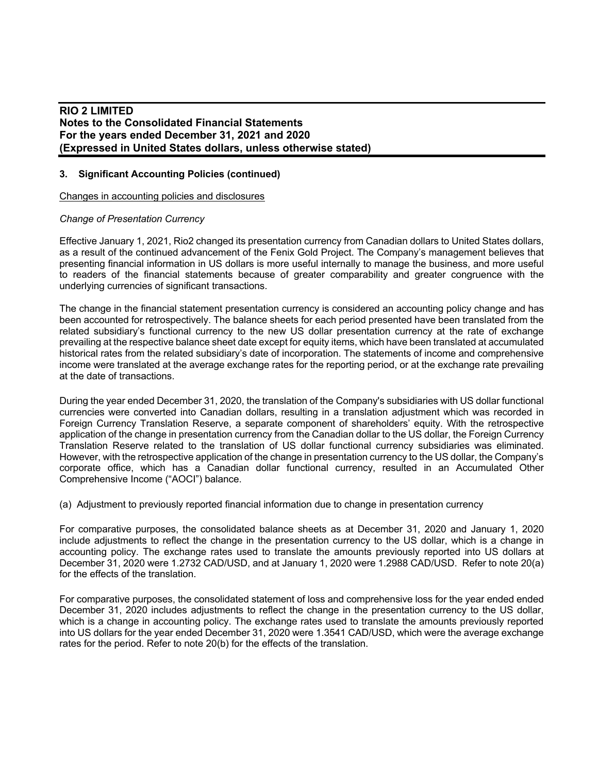### **3. Significant Accounting Policies (continued)**

Changes in accounting policies and disclosures

#### *Change of Presentation Currency*

Effective January 1, 2021, Rio2 changed its presentation currency from Canadian dollars to United States dollars, as a result of the continued advancement of the Fenix Gold Project. The Company's management believes that presenting financial information in US dollars is more useful internally to manage the business, and more useful to readers of the financial statements because of greater comparability and greater congruence with the underlying currencies of significant transactions.

The change in the financial statement presentation currency is considered an accounting policy change and has been accounted for retrospectively. The balance sheets for each period presented have been translated from the related subsidiary's functional currency to the new US dollar presentation currency at the rate of exchange prevailing at the respective balance sheet date except for equity items, which have been translated at accumulated historical rates from the related subsidiary's date of incorporation. The statements of income and comprehensive income were translated at the average exchange rates for the reporting period, or at the exchange rate prevailing at the date of transactions.

During the year ended December 31, 2020, the translation of the Company's subsidiaries with US dollar functional currencies were converted into Canadian dollars, resulting in a translation adjustment which was recorded in Foreign Currency Translation Reserve, a separate component of shareholders' equity. With the retrospective application of the change in presentation currency from the Canadian dollar to the US dollar, the Foreign Currency Translation Reserve related to the translation of US dollar functional currency subsidiaries was eliminated. However, with the retrospective application of the change in presentation currency to the US dollar, the Company's corporate office, which has a Canadian dollar functional currency, resulted in an Accumulated Other Comprehensive Income ("AOCI") balance.

(a) Adjustment to previously reported financial information due to change in presentation currency

For comparative purposes, the consolidated balance sheets as at December 31, 2020 and January 1, 2020 include adjustments to reflect the change in the presentation currency to the US dollar, which is a change in accounting policy. The exchange rates used to translate the amounts previously reported into US dollars at December 31, 2020 were 1.2732 CAD/USD, and at January 1, 2020 were 1.2988 CAD/USD. Refer to note 20(a) for the effects of the translation.

For comparative purposes, the consolidated statement of loss and comprehensive loss for the year ended ended December 31, 2020 includes adjustments to reflect the change in the presentation currency to the US dollar, which is a change in accounting policy. The exchange rates used to translate the amounts previously reported into US dollars for the year ended December 31, 2020 were 1.3541 CAD/USD, which were the average exchange rates for the period. Refer to note 20(b) for the effects of the translation.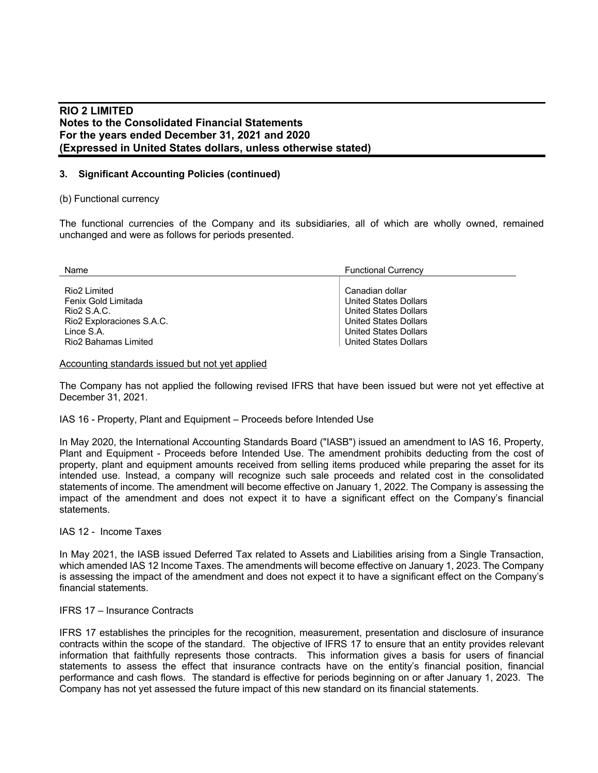### **3. Significant Accounting Policies (continued)**

### (b) Functional currency

The functional currencies of the Company and its subsidiaries, all of which are wholly owned, remained unchanged and were as follows for periods presented.

| Name                                                                                          | <b>Functional Currency</b>                                                                                                                      |
|-----------------------------------------------------------------------------------------------|-------------------------------------------------------------------------------------------------------------------------------------------------|
| Rio2 Limited<br>Fenix Gold Limitada<br>Rio2 S.A.C.<br>Rio2 Exploraciones S.A.C.<br>Lince S.A. | Canadian dollar<br><b>United States Dollars</b><br><b>United States Dollars</b><br><b>United States Dollars</b><br><b>United States Dollars</b> |
| Rio <sub>2</sub> Bahamas Limited                                                              | United States Dollars                                                                                                                           |

#### Accounting standards issued but not yet applied

The Company has not applied the following revised IFRS that have been issued but were not yet effective at December 31, 2021.

IAS 16 - Property, Plant and Equipment – Proceeds before Intended Use

In May 2020, the International Accounting Standards Board ("IASB") issued an amendment to IAS 16, Property, Plant and Equipment - Proceeds before Intended Use. The amendment prohibits deducting from the cost of property, plant and equipment amounts received from selling items produced while preparing the asset for its intended use. Instead, a company will recognize such sale proceeds and related cost in the consolidated statements of income. The amendment will become effective on January 1, 2022. The Company is assessing the impact of the amendment and does not expect it to have a significant effect on the Company's financial statements.

IAS 12 - Income Taxes

In May 2021, the IASB issued Deferred Tax related to Assets and Liabilities arising from a Single Transaction, which amended IAS 12 Income Taxes. The amendments will become effective on January 1, 2023. The Company is assessing the impact of the amendment and does not expect it to have a significant effect on the Company's financial statements.

IFRS 17 – Insurance Contracts

IFRS 17 establishes the principles for the recognition, measurement, presentation and disclosure of insurance contracts within the scope of the standard. The objective of IFRS 17 to ensure that an entity provides relevant information that faithfully represents those contracts. This information gives a basis for users of financial statements to assess the effect that insurance contracts have on the entity's financial position, financial performance and cash flows. The standard is effective for periods beginning on or after January 1, 2023. The Company has not yet assessed the future impact of this new standard on its financial statements.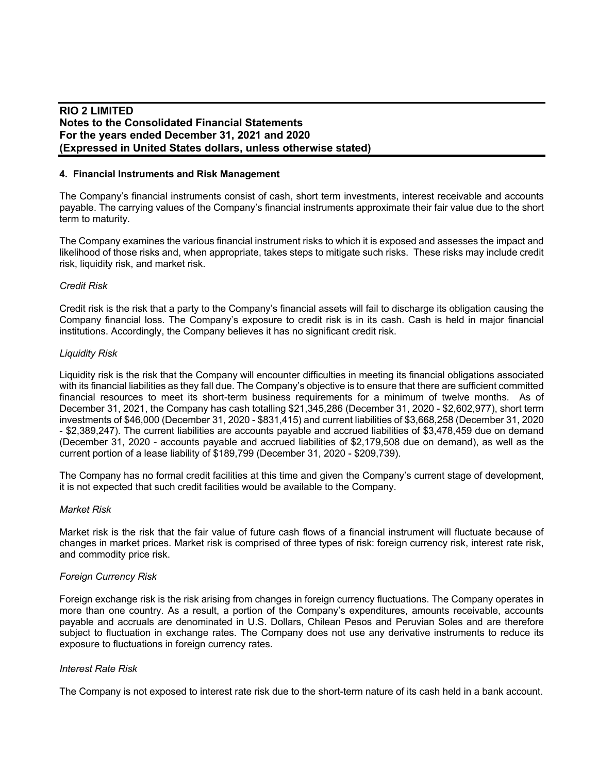#### **4. Financial Instruments and Risk Management**

The Company's financial instruments consist of cash, short term investments, interest receivable and accounts payable. The carrying values of the Company's financial instruments approximate their fair value due to the short term to maturity.

The Company examines the various financial instrument risks to which it is exposed and assesses the impact and likelihood of those risks and, when appropriate, takes steps to mitigate such risks. These risks may include credit risk, liquidity risk, and market risk.

#### *Credit Risk*

Credit risk is the risk that a party to the Company's financial assets will fail to discharge its obligation causing the Company financial loss. The Company's exposure to credit risk is in its cash. Cash is held in major financial institutions. Accordingly, the Company believes it has no significant credit risk.

#### *Liquidity Risk*

Liquidity risk is the risk that the Company will encounter difficulties in meeting its financial obligations associated with its financial liabilities as they fall due. The Company's objective is to ensure that there are sufficient committed financial resources to meet its short-term business requirements for a minimum of twelve months. As of December 31, 2021, the Company has cash totalling \$21,345,286 (December 31, 2020 - \$2,602,977), short term investments of \$46,000 (December 31, 2020 - \$831,415) and current liabilities of \$3,668,258 (December 31, 2020 - \$2,389,247). The current liabilities are accounts payable and accrued liabilities of \$3,478,459 due on demand (December 31, 2020 - accounts payable and accrued liabilities of \$2,179,508 due on demand), as well as the current portion of a lease liability of \$189,799 (December 31, 2020 - \$209,739).

The Company has no formal credit facilities at this time and given the Company's current stage of development, it is not expected that such credit facilities would be available to the Company.

#### *Market Risk*

Market risk is the risk that the fair value of future cash flows of a financial instrument will fluctuate because of changes in market prices. Market risk is comprised of three types of risk: foreign currency risk, interest rate risk, and commodity price risk.

#### *Foreign Currency Risk*

Foreign exchange risk is the risk arising from changes in foreign currency fluctuations. The Company operates in more than one country. As a result, a portion of the Company's expenditures, amounts receivable, accounts payable and accruals are denominated in U.S. Dollars, Chilean Pesos and Peruvian Soles and are therefore subject to fluctuation in exchange rates. The Company does not use any derivative instruments to reduce its exposure to fluctuations in foreign currency rates.

#### *Interest Rate Risk*

The Company is not exposed to interest rate risk due to the short-term nature of its cash held in a bank account.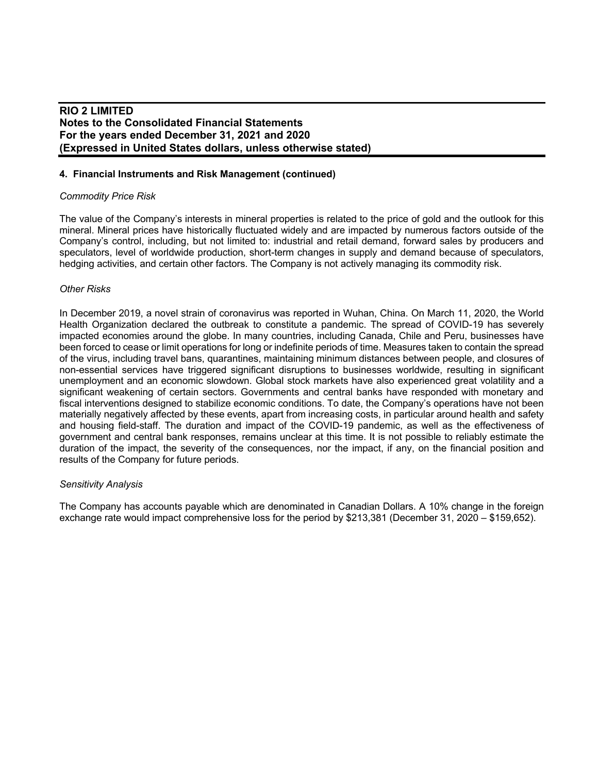### **4. Financial Instruments and Risk Management (continued)**

#### *Commodity Price Risk*

The value of the Company's interests in mineral properties is related to the price of gold and the outlook for this mineral. Mineral prices have historically fluctuated widely and are impacted by numerous factors outside of the Company's control, including, but not limited to: industrial and retail demand, forward sales by producers and speculators, level of worldwide production, short-term changes in supply and demand because of speculators, hedging activities, and certain other factors. The Company is not actively managing its commodity risk.

#### *Other Risks*

In December 2019, a novel strain of coronavirus was reported in Wuhan, China. On March 11, 2020, the World Health Organization declared the outbreak to constitute a pandemic. The spread of COVID-19 has severely impacted economies around the globe. In many countries, including Canada, Chile and Peru, businesses have been forced to cease or limit operations for long or indefinite periods of time. Measures taken to contain the spread of the virus, including travel bans, quarantines, maintaining minimum distances between people, and closures of non-essential services have triggered significant disruptions to businesses worldwide, resulting in significant unemployment and an economic slowdown. Global stock markets have also experienced great volatility and a significant weakening of certain sectors. Governments and central banks have responded with monetary and fiscal interventions designed to stabilize economic conditions. To date, the Company's operations have not been materially negatively affected by these events, apart from increasing costs, in particular around health and safety and housing field-staff. The duration and impact of the COVID-19 pandemic, as well as the effectiveness of government and central bank responses, remains unclear at this time. It is not possible to reliably estimate the duration of the impact, the severity of the consequences, nor the impact, if any, on the financial position and results of the Company for future periods.

#### *Sensitivity Analysis*

The Company has accounts payable which are denominated in Canadian Dollars. A 10% change in the foreign exchange rate would impact comprehensive loss for the period by \$213,381 (December 31, 2020 – \$159,652).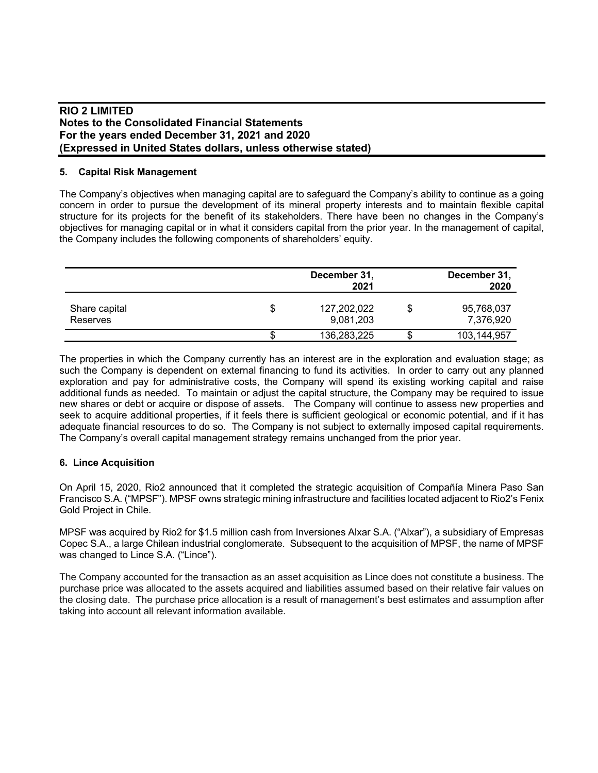# **5. Capital Risk Management**

The Company's objectives when managing capital are to safeguard the Company's ability to continue as a going concern in order to pursue the development of its mineral property interests and to maintain flexible capital structure for its projects for the benefit of its stakeholders. There have been no changes in the Company's objectives for managing capital or in what it considers capital from the prior year. In the management of capital, the Company includes the following components of shareholders' equity.

|                           |    | December 31,<br>2021     | December 31,<br>2020    |
|---------------------------|----|--------------------------|-------------------------|
| Share capital<br>Reserves | \$ | 127,202,022<br>9,081,203 | 95,768,037<br>7,376,920 |
|                           | S  | 136,283,225              | 103,144,957             |

The properties in which the Company currently has an interest are in the exploration and evaluation stage; as such the Company is dependent on external financing to fund its activities. In order to carry out any planned exploration and pay for administrative costs, the Company will spend its existing working capital and raise additional funds as needed. To maintain or adjust the capital structure, the Company may be required to issue new shares or debt or acquire or dispose of assets. The Company will continue to assess new properties and seek to acquire additional properties, if it feels there is sufficient geological or economic potential, and if it has adequate financial resources to do so. The Company is not subject to externally imposed capital requirements. The Company's overall capital management strategy remains unchanged from the prior year.

#### **6. Lince Acquisition**

On April 15, 2020, Rio2 announced that it completed the strategic acquisition of Compañía Minera Paso San Francisco S.A. ("MPSF"). MPSF owns strategic mining infrastructure and facilities located adjacent to Rio2's Fenix Gold Project in Chile.

MPSF was acquired by Rio2 for \$1.5 million cash from Inversiones Alxar S.A. ("Alxar"), a subsidiary of Empresas Copec S.A., a large Chilean industrial conglomerate. Subsequent to the acquisition of MPSF, the name of MPSF was changed to Lince S.A. ("Lince").

The Company accounted for the transaction as an asset acquisition as Lince does not constitute a business. The purchase price was allocated to the assets acquired and liabilities assumed based on their relative fair values on the closing date. The purchase price allocation is a result of management's best estimates and assumption after taking into account all relevant information available.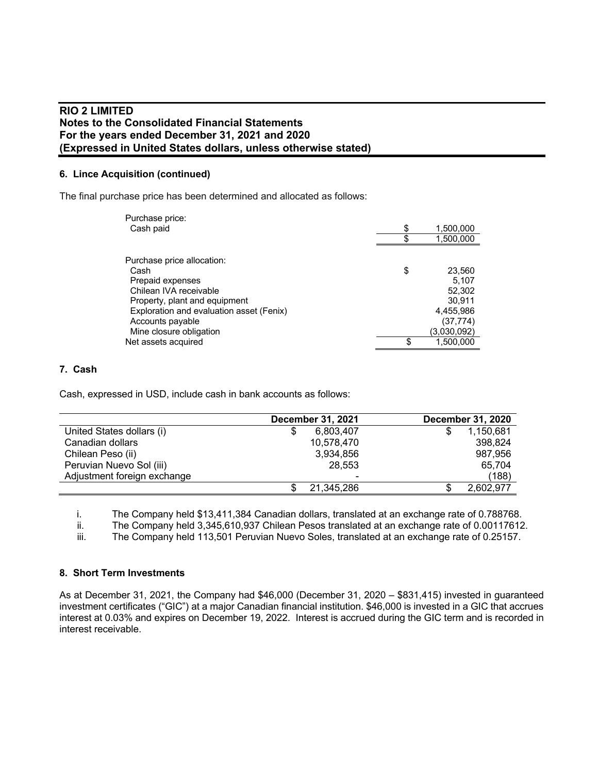### **6. Lince Acquisition (continued)**

The final purchase price has been determined and allocated as follows:

| Purchase price:                          |    |             |
|------------------------------------------|----|-------------|
| Cash paid                                | S  | 1,500,000   |
|                                          |    | 1,500,000   |
|                                          |    |             |
| Purchase price allocation:               |    |             |
| Cash                                     | \$ | 23,560      |
| Prepaid expenses                         |    | 5.107       |
| Chilean IVA receivable                   |    | 52,302      |
| Property, plant and equipment            |    | 30.911      |
| Exploration and evaluation asset (Fenix) |    | 4,455,986   |
| Accounts payable                         |    | (37, 774)   |
| Mine closure obligation                  |    | (3,030,092) |
| Net assets acquired                      | \$ | 1,500,000   |

### **7. Cash**

Cash, expressed in USD, include cash in bank accounts as follows:

|                             | <b>December 31, 2021</b> |            |   | <b>December 31, 2020</b> |
|-----------------------------|--------------------------|------------|---|--------------------------|
| United States dollars (i)   | \$                       | 6,803,407  | S | 1,150,681                |
| Canadian dollars            |                          | 10,578,470 |   | 398,824                  |
| Chilean Peso (ii)           |                          | 3,934,856  |   | 987,956                  |
| Peruvian Nuevo Sol (iii)    |                          | 28.553     |   | 65.704                   |
| Adjustment foreign exchange |                          | $\,$       |   | (188)                    |
|                             |                          | 21,345,286 |   | 2,602,977                |

i. The Company held \$13,411,384 Canadian dollars, translated at an exchange rate of 0.788768.

ii. The Company held 3,345,610,937 Chilean Pesos translated at an exchange rate of 0.00117612.

iii. The Company held 113,501 Peruvian Nuevo Soles, translated at an exchange rate of 0.25157.

#### **8. Short Term Investments**

As at December 31, 2021, the Company had \$46,000 (December 31, 2020 – \$831,415) invested in guaranteed investment certificates ("GIC") at a major Canadian financial institution. \$46,000 is invested in a GIC that accrues interest at 0.03% and expires on December 19, 2022. Interest is accrued during the GIC term and is recorded in interest receivable.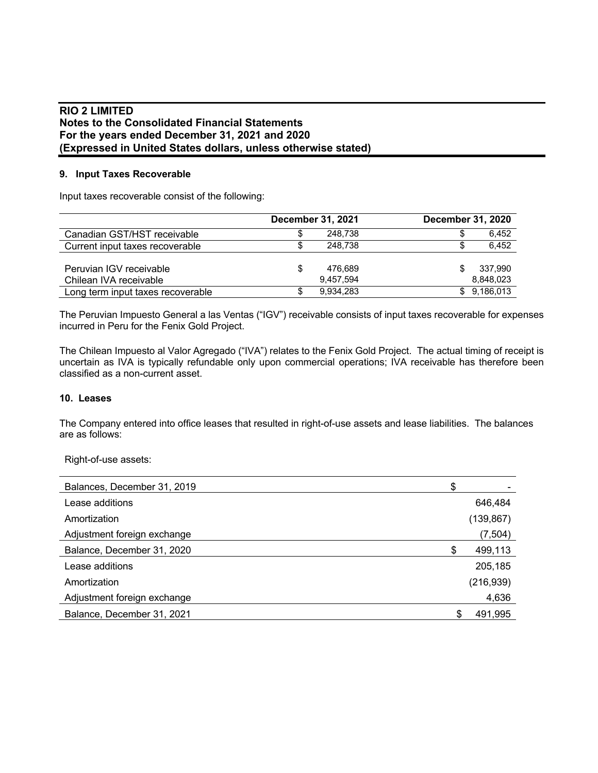## **9. Input Taxes Recoverable**

Input taxes recoverable consist of the following:

|                                   | <b>December 31, 2021</b> |           | <b>December 31, 2020</b> |
|-----------------------------------|--------------------------|-----------|--------------------------|
| Canadian GST/HST receivable       |                          | 248.738   | 6,452                    |
| Current input taxes recoverable   |                          | 248.738   | 6,452                    |
| Peruvian IGV receivable           |                          | 476.689   | 337.990                  |
| Chilean IVA receivable            |                          | 9.457.594 | 8,848,023                |
| Long term input taxes recoverable |                          | 9.934.283 | \$9.186.013              |

The Peruvian Impuesto General a las Ventas ("IGV") receivable consists of input taxes recoverable for expenses incurred in Peru for the Fenix Gold Project.

The Chilean Impuesto al Valor Agregado ("IVA") relates to the Fenix Gold Project. The actual timing of receipt is uncertain as IVA is typically refundable only upon commercial operations; IVA receivable has therefore been classified as a non-current asset.

### **10. Leases**

The Company entered into office leases that resulted in right-of-use assets and lease liabilities. The balances are as follows:

Right-of-use assets:

| Balances, December 31, 2019 | \$            |
|-----------------------------|---------------|
| Lease additions             | 646,484       |
| Amortization                | (139, 867)    |
| Adjustment foreign exchange | (7, 504)      |
| Balance, December 31, 2020  | \$<br>499,113 |
| Lease additions             | 205,185       |
| Amortization                | (216, 939)    |
| Adjustment foreign exchange | 4,636         |
| Balance, December 31, 2021  | 491.995       |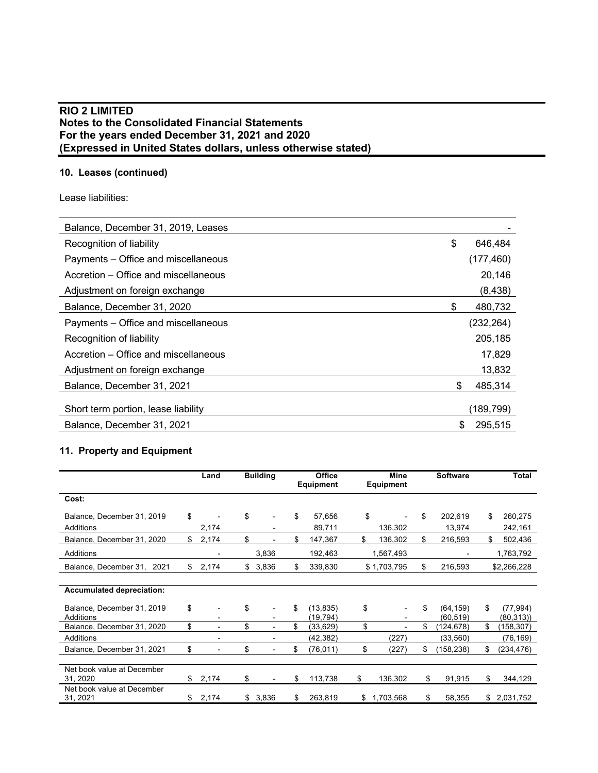# **10. Leases (continued)**

Lease liabilities:

| Balance, December 31, 2019, Leases   |    |            |
|--------------------------------------|----|------------|
| Recognition of liability             | \$ | 646,484    |
| Payments – Office and miscellaneous  |    | (177, 460) |
| Accretion – Office and miscellaneous |    | 20,146     |
| Adjustment on foreign exchange       |    | (8, 438)   |
| Balance, December 31, 2020           | \$ | 480,732    |
| Payments – Office and miscellaneous  |    | (232, 264) |
| Recognition of liability             |    | 205,185    |
| Accretion – Office and miscellaneous |    | 17,829     |
| Adjustment on foreign exchange       |    | 13,832     |
| Balance, December 31, 2021           | S  | 485,314    |
| Short term portion, lease liability  |    | (189,799)  |
| Balance, December 31, 2021           | \$ | 295,515    |

# **11. Property and Equipment**

|                                         | Land                           | <b>Building</b>      | Office<br><b>Equipment</b>  | <b>Mine</b><br><b>Equipment</b> | <b>Software</b>              |    | Total                  |
|-----------------------------------------|--------------------------------|----------------------|-----------------------------|---------------------------------|------------------------------|----|------------------------|
| Cost:                                   |                                |                      |                             |                                 |                              |    |                        |
| Balance, December 31, 2019<br>Additions | \$<br>2,174                    | \$<br>$\overline{a}$ | \$<br>57,656<br>89,711      | \$<br>136,302                   | \$<br>202,619<br>13,974      | \$ | 260,275<br>242,161     |
| Balance, December 31, 2020              | \$<br>2,174                    | \$<br>٠              | \$<br>147,367               | \$<br>136,302                   | \$<br>216,593                | S  | 502,436                |
| Additions                               |                                | 3,836                | 192,463                     | 1,567,493                       |                              |    | 1,763,792              |
| Balance, December 31,<br>2021           | \$<br>2,174                    | \$<br>3,836          | \$<br>339,830               | \$1,703,795                     | \$<br>216,593                |    | \$2,266,228            |
| <b>Accumulated depreciation:</b>        |                                |                      |                             |                                 |                              |    |                        |
| Balance, December 31, 2019<br>Additions | \$                             | \$<br>-              | \$<br>(13, 835)<br>(19,794) | \$                              | \$<br>(64, 159)<br>(60, 519) | \$ | (77, 994)<br>(80, 313) |
| Balance, December 31, 2020              | \$<br>$\overline{\phantom{a}}$ | \$<br>۰              | \$<br>(33,629)              | \$<br>$\overline{\phantom{0}}$  | \$<br>(124,678)              | \$ | (158,307)              |
| Additions                               |                                |                      | (42,382)                    | (227)                           | (33, 560)                    |    | (76,169)               |
| Balance, December 31, 2021              | \$                             | \$<br>$\overline{a}$ | \$<br>(76, 011)             | \$<br>(227)                     | \$<br>(158, 238)             | \$ | (234, 476)             |
|                                         |                                |                      |                             |                                 |                              |    |                        |
| Net book value at December<br>31, 2020  | \$<br>2,174                    | \$                   | \$<br>113,738               | \$<br>136,302                   | \$<br>91,915                 | \$ | 344,129                |
| Net book value at December<br>31, 2021  | \$<br>2,174                    | \$3,836              | \$<br>263,819               | \$<br>1,703,568                 | \$<br>58,355                 | \$ | 2,031,752              |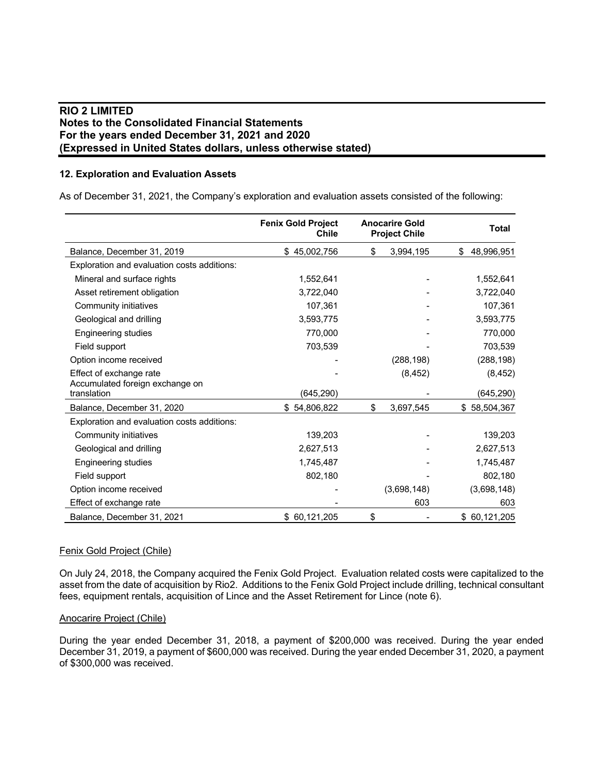### **12. Exploration and Evaluation Assets**

As of December 31, 2021, the Company's exploration and evaluation assets consisted of the following:

|                                                            | <b>Fenix Gold Project</b><br><b>Chile</b> | <b>Anocarire Gold</b><br><b>Project Chile</b> |             | <b>Total</b>     |
|------------------------------------------------------------|-------------------------------------------|-----------------------------------------------|-------------|------------------|
| Balance, December 31, 2019                                 | \$45,002,756                              | \$                                            | 3,994,195   | \$<br>48,996,951 |
| Exploration and evaluation costs additions:                |                                           |                                               |             |                  |
| Mineral and surface rights                                 | 1,552,641                                 |                                               |             | 1,552,641        |
| Asset retirement obligation                                | 3,722,040                                 |                                               |             | 3,722,040        |
| Community initiatives                                      | 107,361                                   |                                               |             | 107,361          |
| Geological and drilling                                    | 3,593,775                                 |                                               |             | 3,593,775        |
| Engineering studies                                        | 770,000                                   |                                               |             | 770,000          |
| Field support                                              | 703,539                                   |                                               |             | 703,539          |
| Option income received                                     |                                           |                                               | (288, 198)  | (288, 198)       |
| Effect of exchange rate<br>Accumulated foreign exchange on |                                           |                                               | (8, 452)    | (8, 452)         |
| translation                                                | (645, 290)                                |                                               |             | (645, 290)       |
| Balance, December 31, 2020                                 | \$54,806,822                              | \$                                            | 3,697,545   | \$58,504,367     |
| Exploration and evaluation costs additions:                |                                           |                                               |             |                  |
| Community initiatives                                      | 139,203                                   |                                               |             | 139,203          |
| Geological and drilling                                    | 2,627,513                                 |                                               |             | 2,627,513        |
| Engineering studies                                        | 1,745,487                                 |                                               |             | 1,745,487        |
| Field support                                              | 802,180                                   |                                               |             | 802,180          |
| Option income received                                     |                                           |                                               | (3,698,148) | (3,698,148)      |
| Effect of exchange rate                                    |                                           |                                               | 603         | 603              |
| Balance, December 31, 2021                                 | \$60,121,205                              | \$                                            |             | \$60,121,205     |

# Fenix Gold Project (Chile)

On July 24, 2018, the Company acquired the Fenix Gold Project. Evaluation related costs were capitalized to the asset from the date of acquisition by Rio2. Additions to the Fenix Gold Project include drilling, technical consultant fees, equipment rentals, acquisition of Lince and the Asset Retirement for Lince (note 6).

#### Anocarire Project (Chile)

During the year ended December 31, 2018, a payment of \$200,000 was received. During the year ended December 31, 2019, a payment of \$600,000 was received. During the year ended December 31, 2020, a payment of \$300,000 was received.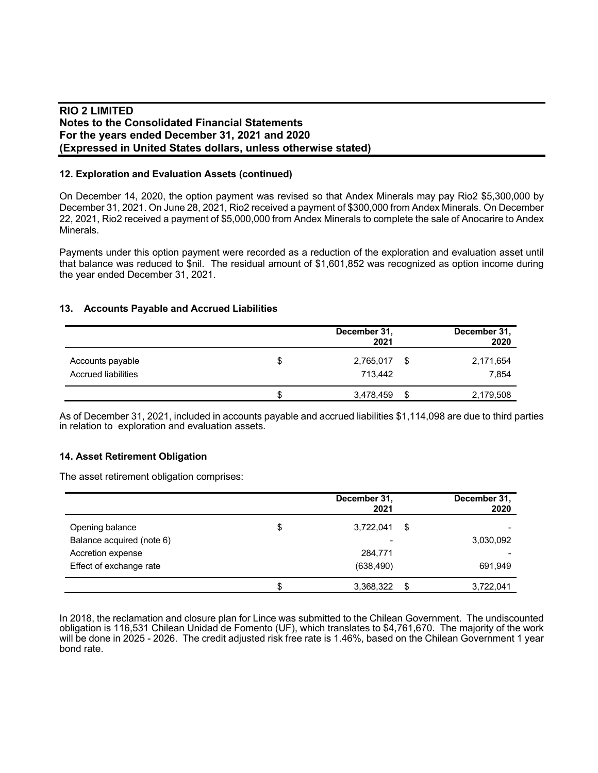### **12. Exploration and Evaluation Assets (continued)**

On December 14, 2020, the option payment was revised so that Andex Minerals may pay Rio2 \$5,300,000 by December 31, 2021. On June 28, 2021, Rio2 received a payment of \$300,000 from Andex Minerals. On December 22, 2021, Rio2 received a payment of \$5,000,000 from Andex Minerals to complete the sale of Anocarire to Andex Minerals.

Payments under this option payment were recorded as a reduction of the exploration and evaluation asset until that balance was reduced to \$nil. The residual amount of \$1,601,852 was recognized as option income during the year ended December 31, 2021.

# **13. Accounts Payable and Accrued Liabilities**

|                                                |     | December 31,<br>2021 |   | December 31,<br>2020 |
|------------------------------------------------|-----|----------------------|---|----------------------|
| Accounts payable<br><b>Accrued liabilities</b> | \$  | 2,765,017<br>713.442 | S | 2,171,654<br>7,854   |
|                                                | \$. | 3,478,459            | S | 2,179,508            |

As of December 31, 2021, included in accounts payable and accrued liabilities \$1,114,098 are due to third parties in relation to exploration and evaluation assets.

# **14. Asset Retirement Obligation**

The asset retirement obligation comprises:

|                           | December 31,<br>2021 |    | December 31,<br>2020 |
|---------------------------|----------------------|----|----------------------|
| Opening balance           | \$<br>3,722,041      | \$ |                      |
| Balance acquired (note 6) |                      |    | 3,030,092            |
| Accretion expense         | 284,771              |    |                      |
| Effect of exchange rate   | (638, 490)           |    | 691,949              |
|                           | 3,368,322            | S  | 3,722,041            |

In 2018, the reclamation and closure plan for Lince was submitted to the Chilean Government. The undiscounted obligation is 116,531 Chilean Unidad de Fomento (UF), which translates to \$4,761,670. The majority of the work will be done in 2025 - 2026. The credit adjusted risk free rate is 1.46%, based on the Chilean Government 1 year bond rate.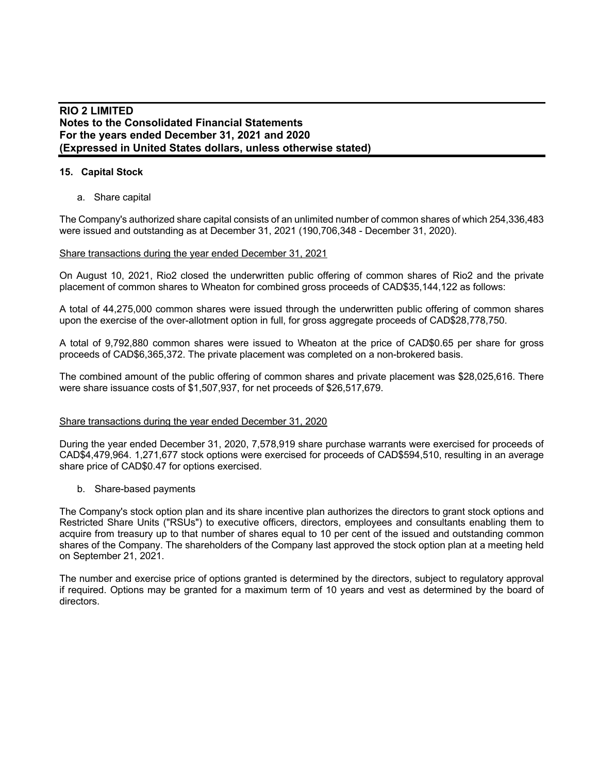# **15. Capital Stock**

a. Share capital

The Company's authorized share capital consists of an unlimited number of common shares of which 254,336,483 were issued and outstanding as at December 31, 2021 (190,706,348 - December 31, 2020).

#### Share transactions during the year ended December 31, 2021

On August 10, 2021, Rio2 closed the underwritten public offering of common shares of Rio2 and the private placement of common shares to Wheaton for combined gross proceeds of CAD\$35,144,122 as follows:

A total of 44,275,000 common shares were issued through the underwritten public offering of common shares upon the exercise of the over-allotment option in full, for gross aggregate proceeds of CAD\$28,778,750.

A total of 9,792,880 common shares were issued to Wheaton at the price of CAD\$0.65 per share for gross proceeds of CAD\$6,365,372. The private placement was completed on a non-brokered basis.

The combined amount of the public offering of common shares and private placement was \$28,025,616. There were share issuance costs of \$1,507,937, for net proceeds of \$26,517,679.

#### Share transactions during the year ended December 31, 2020

During the year ended December 31, 2020, 7,578,919 share purchase warrants were exercised for proceeds of CAD\$4,479,964. 1,271,677 stock options were exercised for proceeds of CAD\$594,510, resulting in an average share price of CAD\$0.47 for options exercised.

b. Share-based payments

The Company's stock option plan and its share incentive plan authorizes the directors to grant stock options and Restricted Share Units ("RSUs") to executive officers, directors, employees and consultants enabling them to acquire from treasury up to that number of shares equal to 10 per cent of the issued and outstanding common shares of the Company. The shareholders of the Company last approved the stock option plan at a meeting held on September 21, 2021.

The number and exercise price of options granted is determined by the directors, subject to regulatory approval if required. Options may be granted for a maximum term of 10 years and vest as determined by the board of directors.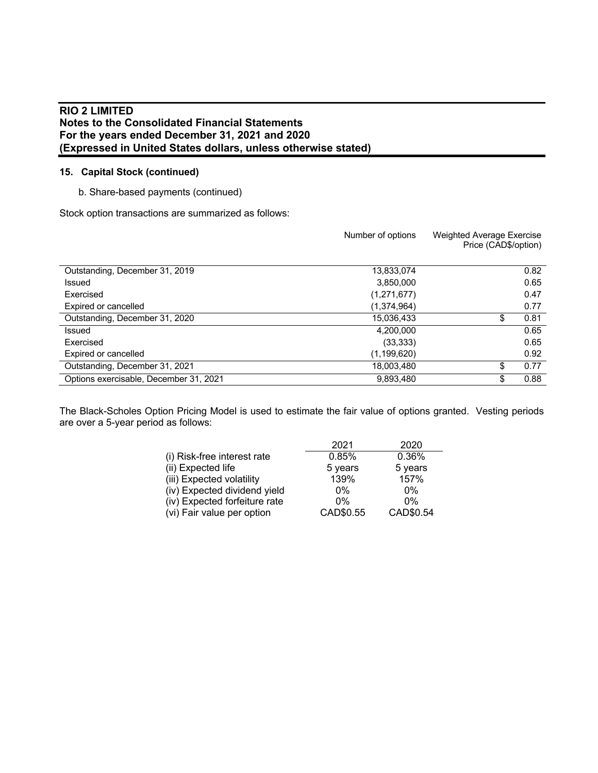# **15. Capital Stock (continued)**

# b. Share-based payments (continued)

Stock option transactions are summarized as follows:

|                                        | Number of options | Weighted Average Exercise<br>Price (CAD\$/option) |
|----------------------------------------|-------------------|---------------------------------------------------|
| Outstanding, December 31, 2019         | 13,833,074        | 0.82                                              |
| Issued                                 | 3,850,000         | 0.65                                              |
| Exercised                              | (1,271,677)       | 0.47                                              |
| Expired or cancelled                   | (1.374.964)       | 0.77                                              |
| Outstanding, December 31, 2020         | 15,036,433        | \$<br>0.81                                        |
| Issued                                 | 4,200,000         | 0.65                                              |
| Exercised                              | (33, 333)         | 0.65                                              |
| Expired or cancelled                   | (1, 199, 620)     | 0.92                                              |
| Outstanding, December 31, 2021         | 18,003,480        | \$<br>0.77                                        |
| Options exercisable, December 31, 2021 | 9.893.480         | \$<br>0.88                                        |

The Black-Scholes Option Pricing Model is used to estimate the fair value of options granted. Vesting periods are over a 5-year period as follows:

|                               | 2021      | 2020      |
|-------------------------------|-----------|-----------|
| (i) Risk-free interest rate   | 0.85%     | 0.36%     |
| (ii) Expected life            | 5 years   | 5 years   |
| (iii) Expected volatility     | 139%      | 157%      |
| (iv) Expected dividend yield  | $0\%$     | $0\%$     |
| (iv) Expected forfeiture rate | $0\%$     | በ%        |
| (vi) Fair value per option    | CAD\$0.55 | CAD\$0.54 |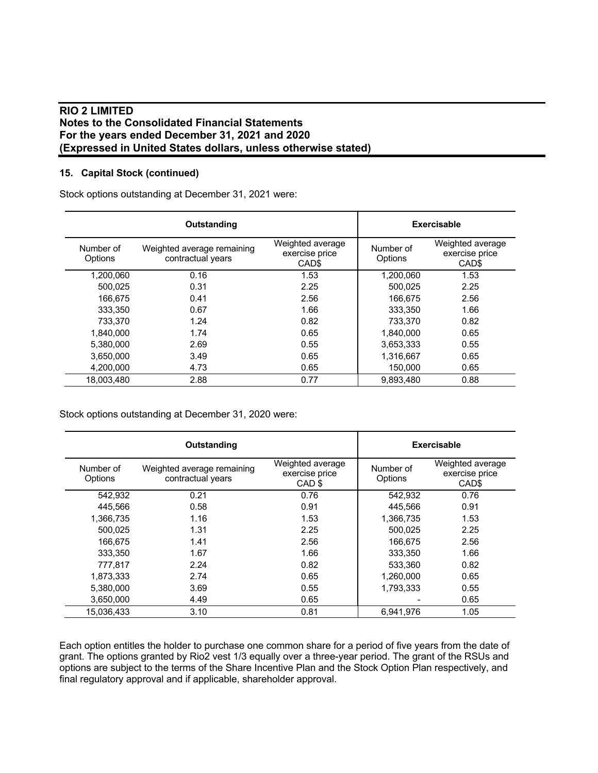# **15. Capital Stock (continued)**

Stock options outstanding at December 31, 2021 were:

|                      | Outstanding                                     |                                             |                      | Exercisable                                             |
|----------------------|-------------------------------------------------|---------------------------------------------|----------------------|---------------------------------------------------------|
| Number of<br>Options | Weighted average remaining<br>contractual years | Weighted average<br>exercise price<br>CAD\$ | Number of<br>Options | Weighted average<br>exercise price<br>CAD <sub>\$</sub> |
| 1,200,060            | 0.16                                            | 1.53                                        | 1.200.060            | 1.53                                                    |
| 500.025              | 0.31                                            | 2.25                                        | 500.025              | 2.25                                                    |
| 166.675              | 0.41                                            | 2.56                                        | 166.675              | 2.56                                                    |
| 333.350              | 0.67                                            | 1.66                                        | 333.350              | 1.66                                                    |
| 733.370              | 1.24                                            | 0.82                                        | 733.370              | 0.82                                                    |
| 1.840.000            | 1.74                                            | 0.65                                        | 1.840.000            | 0.65                                                    |
| 5.380.000            | 2.69                                            | 0.55                                        | 3,653,333            | 0.55                                                    |
| 3,650,000            | 3.49                                            | 0.65                                        | 1,316,667            | 0.65                                                    |
| 4,200,000            | 4.73                                            | 0.65                                        | 150,000              | 0.65                                                    |
| 18.003.480           | 2.88                                            | 0.77                                        | 9.893.480            | 0.88                                                    |

Stock options outstanding at December 31, 2020 were:

|                      | Outstanding                                     |                                                         |                      | <b>Exercisable</b>                          |
|----------------------|-------------------------------------------------|---------------------------------------------------------|----------------------|---------------------------------------------|
| Number of<br>Options | Weighted average remaining<br>contractual years | Weighted average<br>exercise price<br>CAD <sub>\$</sub> | Number of<br>Options | Weighted average<br>exercise price<br>CAD\$ |
| 542,932              | 0.21                                            | 0.76                                                    | 542,932              | 0.76                                        |
| 445.566              | 0.58                                            | 0.91                                                    | 445.566              | 0.91                                        |
| 1.366.735            | 1.16                                            | 1.53                                                    | 1,366,735            | 1.53                                        |
| 500,025              | 1.31                                            | 2.25                                                    | 500,025              | 2.25                                        |
| 166.675              | 1.41                                            | 2.56                                                    | 166.675              | 2.56                                        |
| 333,350              | 1.67                                            | 1.66                                                    | 333,350              | 1.66                                        |
| 777,817              | 2.24                                            | 0.82                                                    | 533,360              | 0.82                                        |
| 1,873,333            | 2.74                                            | 0.65                                                    | 1,260,000            | 0.65                                        |
| 5,380,000            | 3.69                                            | 0.55                                                    | 1,793,333            | 0.55                                        |
| 3,650,000            | 4.49                                            | 0.65                                                    |                      | 0.65                                        |
| 15.036.433           | 3.10                                            | 0.81                                                    | 6,941,976            | 1.05                                        |

Each option entitles the holder to purchase one common share for a period of five years from the date of grant. The options granted by Rio2 vest 1/3 equally over a three-year period. The grant of the RSUs and options are subject to the terms of the Share Incentive Plan and the Stock Option Plan respectively, and final regulatory approval and if applicable, shareholder approval.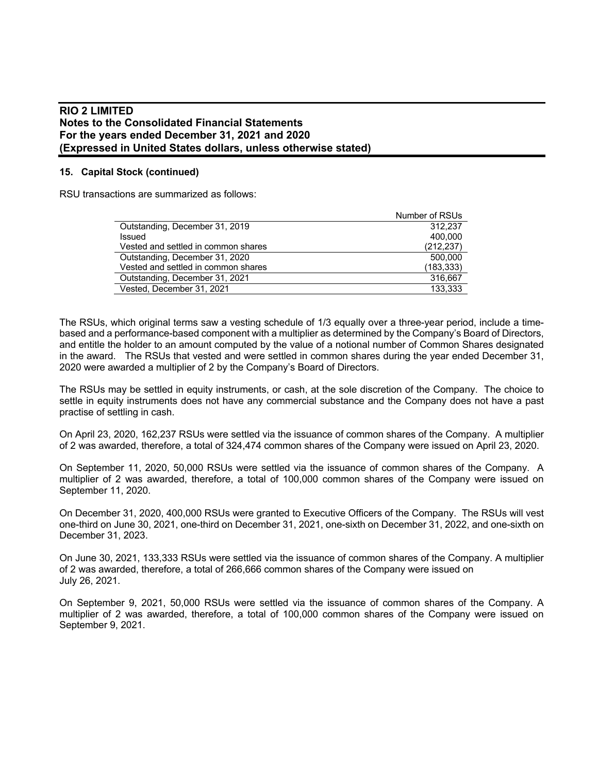### **15. Capital Stock (continued)**

RSU transactions are summarized as follows:

|                                     | Number of RSUs |
|-------------------------------------|----------------|
| Outstanding, December 31, 2019      | 312.237        |
| Issued                              | 400.000        |
| Vested and settled in common shares | (212, 237)     |
| Outstanding, December 31, 2020      | 500,000        |
| Vested and settled in common shares | (183, 333)     |
| Outstanding, December 31, 2021      | 316,667        |
| Vested, December 31, 2021           | 133,333        |
|                                     |                |

The RSUs, which original terms saw a vesting schedule of 1/3 equally over a three-year period, include a timebased and a performance-based component with a multiplier as determined by the Company's Board of Directors, and entitle the holder to an amount computed by the value of a notional number of Common Shares designated in the award. The RSUs that vested and were settled in common shares during the year ended December 31, 2020 were awarded a multiplier of 2 by the Company's Board of Directors.

The RSUs may be settled in equity instruments, or cash, at the sole discretion of the Company. The choice to settle in equity instruments does not have any commercial substance and the Company does not have a past practise of settling in cash.

On April 23, 2020, 162,237 RSUs were settled via the issuance of common shares of the Company. A multiplier of 2 was awarded, therefore, a total of 324,474 common shares of the Company were issued on April 23, 2020.

On September 11, 2020, 50,000 RSUs were settled via the issuance of common shares of the Company. A multiplier of 2 was awarded, therefore, a total of 100,000 common shares of the Company were issued on September 11, 2020.

On December 31, 2020, 400,000 RSUs were granted to Executive Officers of the Company. The RSUs will vest one-third on June 30, 2021, one-third on December 31, 2021, one-sixth on December 31, 2022, and one-sixth on December 31, 2023.

On June 30, 2021, 133,333 RSUs were settled via the issuance of common shares of the Company. A multiplier of 2 was awarded, therefore, a total of 266,666 common shares of the Company were issued on July 26, 2021.

On September 9, 2021, 50,000 RSUs were settled via the issuance of common shares of the Company. A multiplier of 2 was awarded, therefore, a total of 100,000 common shares of the Company were issued on September 9, 2021.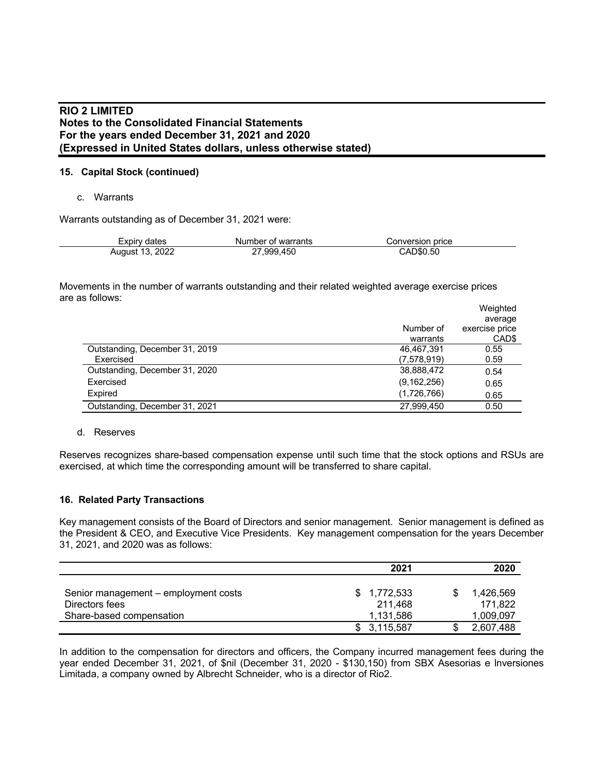# **15. Capital Stock (continued)**

### c. Warrants

Warrants outstanding as of December 31, 2021 were:

| Expiry dates    | Number of warrants | Conversion price |  |
|-----------------|--------------------|------------------|--|
| August 13, 2022 | 27,999,450         | CAD\$0.50        |  |

#### Movements in the number of warrants outstanding and their related weighted average exercise prices are as follows:

|                                |               | Weighted          |
|--------------------------------|---------------|-------------------|
|                                |               | average           |
|                                | Number of     | exercise price    |
|                                | warrants      | CAD <sub>\$</sub> |
| Outstanding, December 31, 2019 | 46,467,391    | 0.55              |
| Exercised                      | (7,578,919)   | 0.59              |
| Outstanding, December 31, 2020 | 38,888,472    | 0.54              |
| Exercised                      | (9, 162, 256) | 0.65              |
| Expired                        | (1,726,766)   | 0.65              |
| Outstanding, December 31, 2021 | 27,999,450    | 0.50              |

#### d. Reserves

Reserves recognizes share-based compensation expense until such time that the stock options and RSUs are exercised, at which time the corresponding amount will be transferred to share capital.

# **16. Related Party Transactions**

Key management consists of the Board of Directors and senior management. Senior management is defined as the President & CEO, and Executive Vice Presidents. Key management compensation for the years December 31, 2021, and 2020 was as follows:

|                                      | 2021      | 2020      |
|--------------------------------------|-----------|-----------|
|                                      |           |           |
| Senior management – employment costs | 1,772,533 | 1,426,569 |
| Directors fees                       | 211,468   | 171.822   |
| Share-based compensation             | 1,131,586 | 1,009,097 |
|                                      | 3,115,587 | 2,607,488 |

In addition to the compensation for directors and officers, the Company incurred management fees during the year ended December 31, 2021, of \$nil (December 31, 2020 - \$130,150) from SBX Asesorias e lnversiones Limitada, a company owned by Albrecht Schneider, who is a director of Rio2.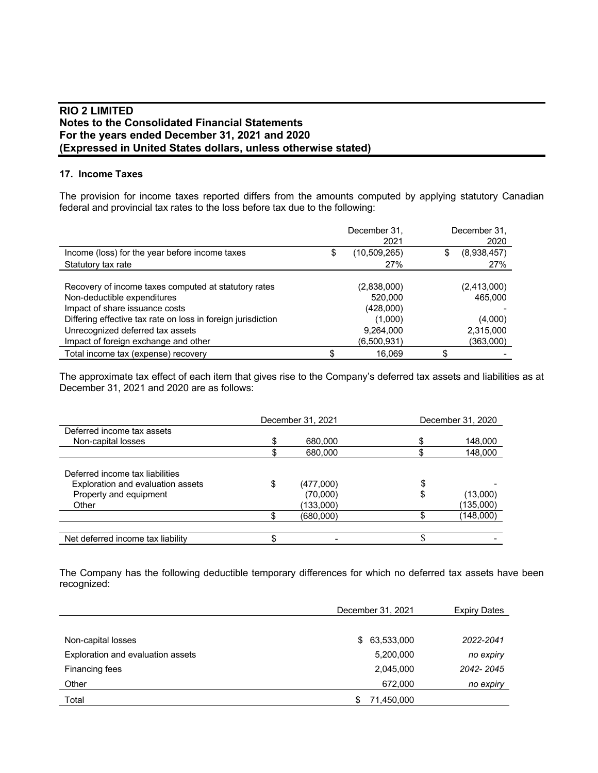### **17. Income Taxes**

The provision for income taxes reported differs from the amounts computed by applying statutory Canadian federal and provincial tax rates to the loss before tax due to the following:

|                                                              | December 31.<br>2021 | December 31,<br>2020 |
|--------------------------------------------------------------|----------------------|----------------------|
| Income (loss) for the year before income taxes               | \$<br>(10, 509, 265) | \$<br>(8,938,457)    |
| Statutory tax rate                                           | 27%                  | 27%                  |
|                                                              |                      |                      |
| Recovery of income taxes computed at statutory rates         | (2,838,000)          | (2,413,000)          |
| Non-deductible expenditures                                  | 520,000              | 465,000              |
| Impact of share issuance costs                               | (428,000)            |                      |
| Differing effective tax rate on loss in foreign jurisdiction | (1,000)              | (4,000)              |
| Unrecognized deferred tax assets                             | 9,264,000            | 2,315,000            |
| Impact of foreign exchange and other                         | (6,500,931)          | (363,000)            |
| Total income tax (expense) recovery                          | 16.069               |                      |

The approximate tax effect of each item that gives rise to the Company's deferred tax assets and liabilities as at December 31, 2021 and 2020 are as follows:

|                                                                                                         | December 31, 2021 |                                    | December 31, 2020     |  |
|---------------------------------------------------------------------------------------------------------|-------------------|------------------------------------|-----------------------|--|
| Deferred income tax assets                                                                              |                   |                                    |                       |  |
| Non-capital losses                                                                                      |                   | 680,000                            | 148,000               |  |
|                                                                                                         |                   | 680,000                            | 148,000               |  |
| Deferred income tax liabilities<br>Exploration and evaluation assets<br>Property and equipment<br>Other | \$                | (477,000)<br>(70,000)<br>(133,000) | (13,000)<br>(135,000) |  |
|                                                                                                         |                   | (680,000)                          | (148,000)             |  |
|                                                                                                         |                   |                                    |                       |  |
| Net deferred income tax liability                                                                       |                   |                                    |                       |  |

The Company has the following deductible temporary differences for which no deferred tax assets have been recognized:

|                                   | December 31, 2021 | <b>Expiry Dates</b> |
|-----------------------------------|-------------------|---------------------|
|                                   |                   |                     |
| Non-capital losses                | \$63,533,000      | 2022-2041           |
| Exploration and evaluation assets | 5,200,000         | no expiry           |
| Financing fees                    | 2,045,000         | 2042-2045           |
| Other                             | 672,000           | no expiry           |
| Total                             | 71,450,000<br>\$. |                     |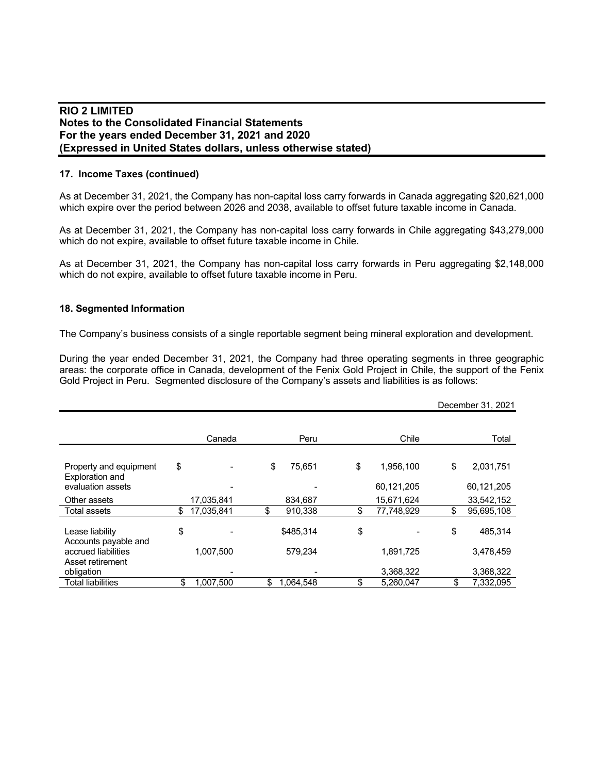### **17. Income Taxes (continued)**

As at December 31, 2021, the Company has non-capital loss carry forwards in Canada aggregating \$20,621,000 which expire over the period between 2026 and 2038, available to offset future taxable income in Canada.

As at December 31, 2021, the Company has non-capital loss carry forwards in Chile aggregating \$43,279,000 which do not expire, available to offset future taxable income in Chile.

As at December 31, 2021, the Company has non-capital loss carry forwards in Peru aggregating \$2,148,000 which do not expire, available to offset future taxable income in Peru.

### **18. Segmented Information**

The Company's business consists of a single reportable segment being mineral exploration and development.

During the year ended December 31, 2021, the Company had three operating segments in three geographic areas: the corporate office in Canada, development of the Fenix Gold Project in Chile, the support of the Fenix Gold Project in Peru. Segmented disclosure of the Company's assets and liabilities is as follows:

|                                           |    |            |                 |                  | December 31, 2021 |
|-------------------------------------------|----|------------|-----------------|------------------|-------------------|
|                                           |    | Canada     | Peru            | Chile            | Total             |
|                                           |    |            |                 |                  |                   |
| Property and equipment<br>Exploration and | \$ |            | \$<br>75.651    | \$<br>1.956.100  | \$<br>2,031,751   |
| evaluation assets                         |    |            |                 | 60,121,205       | 60,121,205        |
| Other assets                              |    | 17,035,841 | 834,687         | 15,671,624       | 33,542,152        |
| Total assets                              | \$ | 17,035,841 | \$<br>910,338   | \$<br>77,748,929 | \$<br>95,695,108  |
| Lease liability<br>Accounts payable and   | \$ |            | \$485,314       | \$               | \$<br>485,314     |
| accrued liabilities                       |    | 1,007,500  | 579,234         | 1,891,725        | 3,478,459         |
| Asset retirement<br>obligation            |    |            |                 | 3,368,322        | 3,368,322         |
| <b>Total liabilities</b>                  | S  | 1.007.500  | \$<br>1.064.548 | 5.260.047        | 7.332.095         |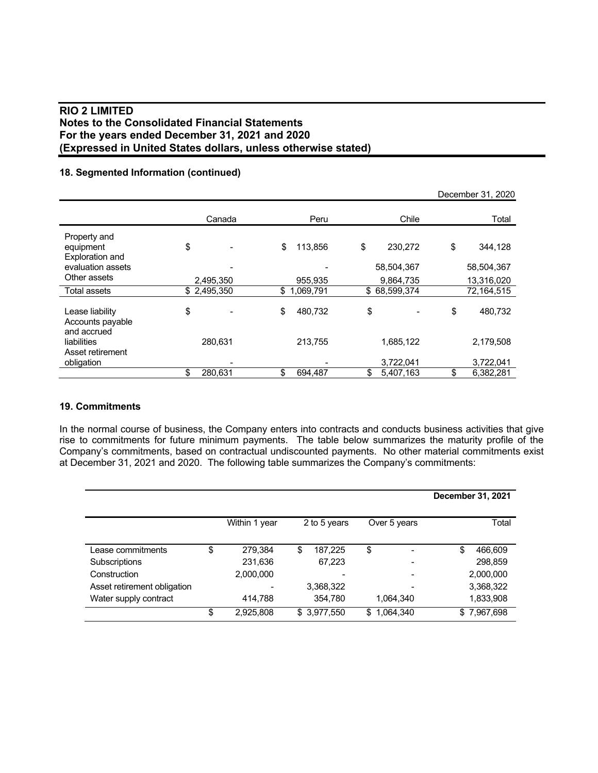# **18. Segmented Information (continued)**

|                                                    |             |           |                 |                 | December 31, 2020 |
|----------------------------------------------------|-------------|-----------|-----------------|-----------------|-------------------|
|                                                    |             | Canada    | Peru            | Chile           | Total             |
| Property and<br>equipment<br>Exploration and       | \$          |           | \$<br>113,856   | \$<br>230,272   | \$<br>344,128     |
| evaluation assets                                  |             |           |                 | 58,504,367      | 58,504,367        |
| Other assets                                       |             | 2.495.350 | 955.935         | 9.864.735       | 13,316,020        |
| <b>Total assets</b>                                | \$2,495,350 |           | \$<br>1,069,791 | \$68,599,374    | 72,164,515        |
| Lease liability<br>Accounts payable<br>and accrued | \$          |           | \$<br>480,732   | \$              | \$<br>480,732     |
| liabilities<br>Asset retirement                    |             | 280.631   | 213.755         | 1,685,122       | 2,179,508         |
| obligation                                         |             |           |                 | 3,722,041       | 3,722,041         |
|                                                    | \$          | 280,631   | \$<br>694.487   | \$<br>5,407,163 | \$<br>6,382,281   |

### **19. Commitments**

In the normal course of business, the Company enters into contracts and conducts business activities that give rise to commitments for future minimum payments. The table below summarizes the maturity profile of the Company's commitments, based on contractual undiscounted payments. No other material commitments exist at December 31, 2021 and 2020. The following table summarizes the Company's commitments:

|                             |                 |               |                | December 31, 2021 |
|-----------------------------|-----------------|---------------|----------------|-------------------|
|                             | Within 1 year   | 2 to 5 years  | Over 5 years   | Total             |
| Lease commitments           | \$<br>279,384   | \$<br>187,225 | \$             | \$<br>466,609     |
| Subscriptions               | 231,636         | 67,223        |                | 298,859           |
| Construction                | 2,000,000       | -             |                | 2,000,000         |
| Asset retirement obligation |                 | 3,368,322     |                | 3,368,322         |
| Water supply contract       | 414,788         | 354.780       | 1.064.340      | 1,833,908         |
|                             | \$<br>2,925,808 | \$3,977,550   | 1,064,340<br>S | 7,967,698<br>S    |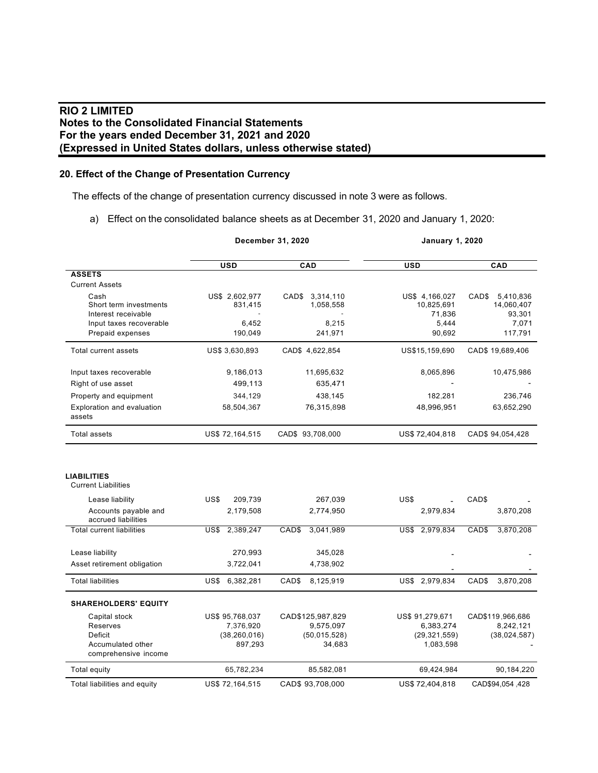# **20. Effect of the Change of Presentation Currency**

The effects of the change of presentation currency discussed in note 3 were as follows.

a) Effect on the consolidated balance sheets as at December 31, 2020 and January 1, 2020:

|                                                  | December 31, 2020         |                                 | <b>January 1, 2020</b>       |                                  |  |
|--------------------------------------------------|---------------------------|---------------------------------|------------------------------|----------------------------------|--|
|                                                  | <b>USD</b>                | CAD                             | <b>USD</b>                   | CAD                              |  |
| <b>ASSETS</b>                                    |                           |                                 |                              |                                  |  |
| <b>Current Assets</b>                            |                           |                                 |                              |                                  |  |
| Cash<br>Short term investments                   | US\$ 2,602,977<br>831,415 | CAD\$<br>3,314,110<br>1,058,558 | US\$ 4,166,027<br>10,825,691 | 5,410,836<br>CAD\$<br>14,060,407 |  |
| Interest receivable                              |                           |                                 | 71,836                       | 93,301                           |  |
| Input taxes recoverable                          | 6,452                     | 8,215                           | 5,444                        | 7,071                            |  |
| Prepaid expenses                                 | 190,049                   | 241,971                         | 90,692                       | 117,791                          |  |
| Total current assets                             | US\$ 3,630,893            | CAD\$ 4,622,854                 | US\$15,159,690               | CAD\$ 19,689,406                 |  |
| Input taxes recoverable                          | 9,186,013                 | 11,695,632                      | 8,065,896                    | 10,475,986                       |  |
| Right of use asset                               | 499,113                   | 635,471                         |                              |                                  |  |
| Property and equipment                           | 344,129                   | 438,145                         | 182,281                      | 236,746                          |  |
| Exploration and evaluation<br>assets             | 58,504,367                | 76,315,898                      | 48,996,951                   | 63,652,290                       |  |
| <b>Total assets</b>                              | US\$ 72,164,515           | CAD\$ 93,708,000                | US\$ 72,404,818              | CAD\$ 94,054,428                 |  |
| <b>LIABILITIES</b><br><b>Current Liabilities</b> |                           |                                 |                              |                                  |  |
| Lease liability                                  | US\$<br>209,739           | 267,039                         | US\$                         | CAD\$                            |  |
| Accounts payable and<br>accrued liabilities      | 2,179,508                 | 2,774,950                       | 2,979,834                    | 3,870,208                        |  |
| <b>Total current liabilities</b>                 | US\$<br>2,389,247         | CAD\$<br>3,041,989              | US\$ 2,979,834               | CAD\$<br>3,870,208               |  |
| Lease liability                                  | 270,993                   | 345,028                         |                              |                                  |  |
| Asset retirement obligation                      | 3,722,041                 | 4,738,902                       |                              |                                  |  |
| <b>Total liabilities</b>                         | US\$<br>6,382,281         | CAD\$<br>8,125,919              | US\$ 2,979,834               | CAD\$<br>3,870,208               |  |
| <b>SHAREHOLDERS' EQUITY</b>                      |                           |                                 |                              |                                  |  |
| Capital stock                                    | US\$ 95,768,037           | CAD\$125,987,829                | US\$ 91,279,671              | CAD\$119,966,686                 |  |
| <b>Reserves</b>                                  | 7,376,920                 | 9,575,097                       | 6,383,274                    | 8,242,121                        |  |
| Deficit                                          | (38, 260, 016)            | (50, 015, 528)                  | (29, 321, 559)               | (38,024,587)                     |  |
| Accumulated other<br>comprehensive income        | 897,293                   | 34,683                          | 1,083,598                    |                                  |  |
| Total equity                                     | 65,782,234                | 85,582,081                      | 69,424,984                   | 90,184,220                       |  |
| Total liabilities and equity                     | US\$ 72,164,515           | CAD\$ 93,708,000                | US\$ 72,404,818              | CAD\$94,054,428                  |  |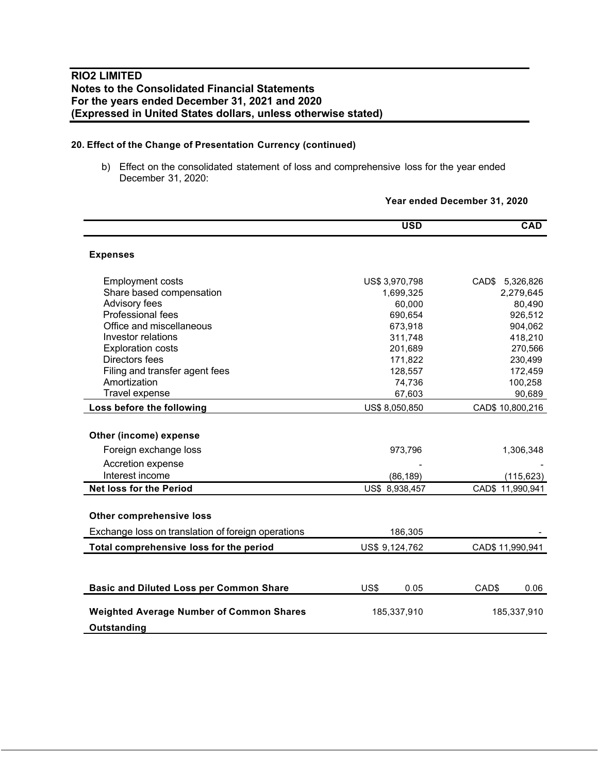# **20. Effect of the Change of Presentation Currency (continued)**

b) Effect on the consolidated statement of loss and comprehensive loss for the year ended December 31, 2020:

|                                                    | Year ended December 31, 2020 |                  |  |
|----------------------------------------------------|------------------------------|------------------|--|
|                                                    | <b>USD</b>                   | <b>CAD</b>       |  |
| <b>Expenses</b>                                    |                              |                  |  |
| <b>Employment costs</b>                            | US\$ 3,970,798               | CAD\$ 5,326,826  |  |
| Share based compensation                           | 1,699,325                    | 2,279,645        |  |
| Advisory fees                                      | 60,000                       | 80,490           |  |
| Professional fees                                  | 690,654                      | 926,512          |  |
| Office and miscellaneous                           | 673,918                      | 904,062          |  |
| Investor relations                                 | 311,748                      | 418,210          |  |
| <b>Exploration costs</b>                           | 201,689                      | 270,566          |  |
| <b>Directors fees</b>                              | 171,822                      | 230,499          |  |
| Filing and transfer agent fees                     | 128,557                      | 172,459          |  |
| Amortization                                       | 74,736                       | 100,258          |  |
| Travel expense                                     | 67,603                       | 90,689           |  |
| Loss before the following                          | US\$ 8,050,850               | CAD\$ 10,800,216 |  |
| Other (income) expense                             |                              |                  |  |
| Foreign exchange loss                              | 973,796                      | 1,306,348        |  |
| Accretion expense                                  |                              |                  |  |
| Interest income                                    | (86, 189)                    | (115, 623)       |  |
| <b>Net loss for the Period</b>                     | US\$ 8,938,457               | CAD\$ 11,990,941 |  |
|                                                    |                              |                  |  |
| <b>Other comprehensive loss</b>                    |                              |                  |  |
| Exchange loss on translation of foreign operations | 186,305                      |                  |  |
| Total comprehensive loss for the period            | US\$ 9,124,762               | CAD\$ 11,990,941 |  |
|                                                    |                              |                  |  |
| <b>Basic and Diluted Loss per Common Share</b>     | US\$<br>0.05                 | CAD\$<br>0.06    |  |
| <b>Weighted Average Number of Common Shares</b>    | 185,337,910                  | 185,337,910      |  |
| Outstanding                                        |                              |                  |  |